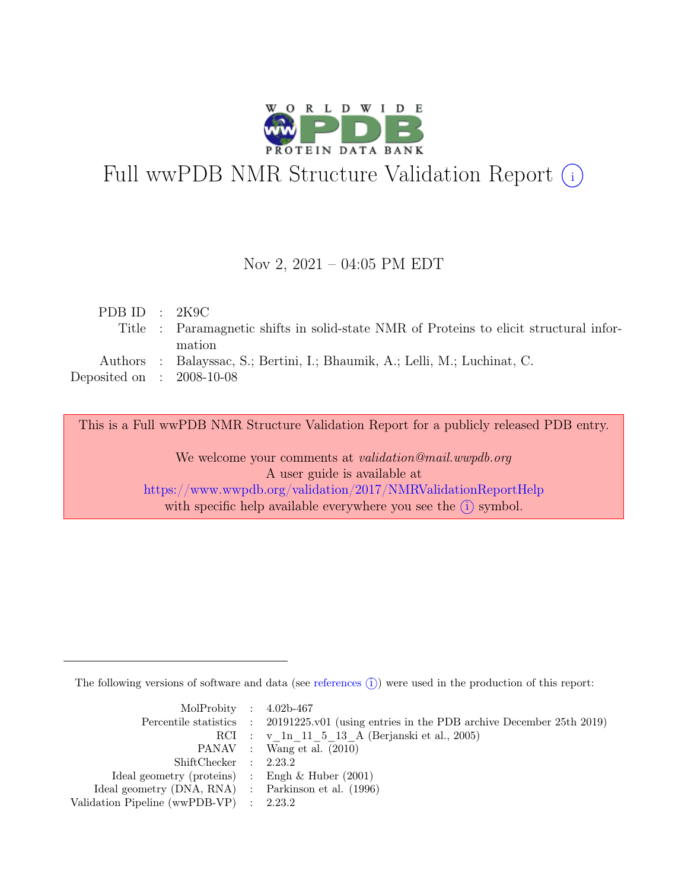

# Full wwPDB NMR Structure Validation Report (i)

#### Nov 2, 2021 – 04:05 PM EDT

| PDB ID : $2K9C$                                                                        |
|----------------------------------------------------------------------------------------|
| Title : Paramagnetic shifts in solid-state NMR of Proteins to elicit structural infor- |
| mation                                                                                 |
| Authors : Balayssac, S.; Bertini, I.; Bhaumik, A.; Lelli, M.; Luchinat, C.             |
| Deposited on : $2008-10-08$                                                            |
|                                                                                        |

This is a Full wwPDB NMR Structure Validation Report for a publicly released PDB entry.

We welcome your comments at *validation@mail.wwpdb.org* A user guide is available at <https://www.wwpdb.org/validation/2017/NMRValidationReportHelp> with specific help available everywhere you see the  $(i)$  symbol.

The following versions of software and data (see [references](https://www.wwpdb.org/validation/2017/NMRValidationReportHelp#references)  $\hat{I}$ ) were used in the production of this report:

| MolProbity : $4.02b-467$                            |                                                                                            |
|-----------------------------------------------------|--------------------------------------------------------------------------------------------|
|                                                     | Percentile statistics : 20191225.v01 (using entries in the PDB archive December 25th 2019) |
|                                                     | RCI : v 1n 11 5 13 A (Berjanski et al., 2005)                                              |
|                                                     | PANAV : Wang et al. (2010)                                                                 |
| ShiftChecker : 2.23.2                               |                                                                                            |
| Ideal geometry (proteins) : Engh $\&$ Huber (2001)  |                                                                                            |
| Ideal geometry (DNA, RNA) : Parkinson et al. (1996) |                                                                                            |
| Validation Pipeline (wwPDB-VP) : $2.23.2$           |                                                                                            |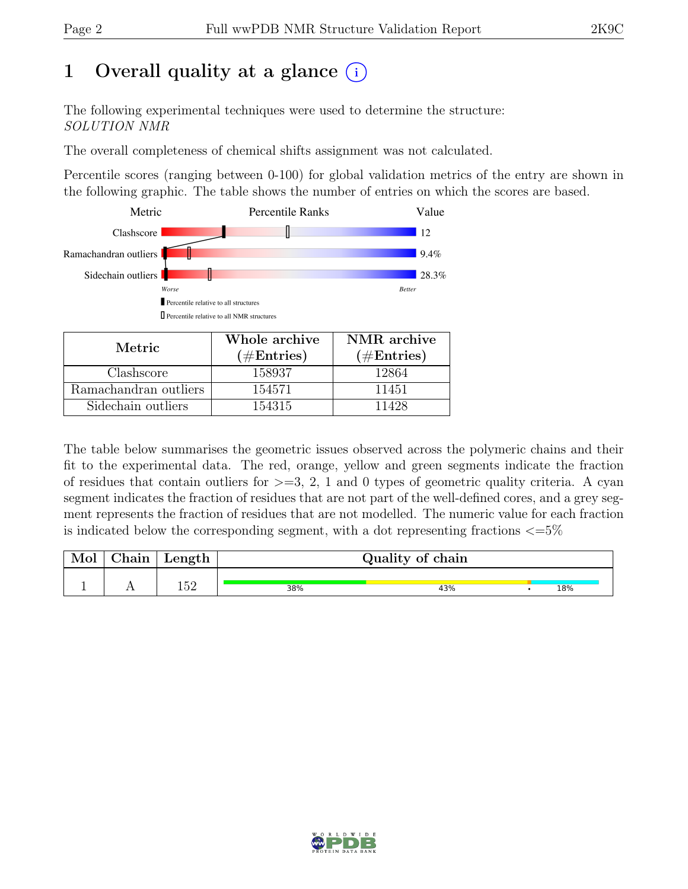# 1 Overall quality at a glance  $(i)$

The following experimental techniques were used to determine the structure: SOLUTION NMR

The overall completeness of chemical shifts assignment was not calculated.

Percentile scores (ranging between 0-100) for global validation metrics of the entry are shown in the following graphic. The table shows the number of entries on which the scores are based.



| Metric.               | Whole archive<br>$(\#Entries)$ | NMR archive<br>$(\#Entries)$ |
|-----------------------|--------------------------------|------------------------------|
| Clashscore            | 158937                         | 12864                        |
| Ramachandran outliers | 154571                         | 11451                        |
| Sidechain outliers    | 154315                         | 11428                        |

The table below summarises the geometric issues observed across the polymeric chains and their fit to the experimental data. The red, orange, yellow and green segments indicate the fraction of residues that contain outliers for  $>=$  3, 2, 1 and 0 types of geometric quality criteria. A cyan segment indicates the fraction of residues that are not part of the well-defined cores, and a grey segment represents the fraction of residues that are not modelled. The numeric value for each fraction is indicated below the corresponding segment, with a dot representing fractions  $\langle=5\%$ 

| Mol | $\perp$ Chain $\perp$ | $\perp$ Length $\perp$ | Quality of chain |     |  |     |  |
|-----|-----------------------|------------------------|------------------|-----|--|-----|--|
|     |                       | م ج                    | 38%              | 43% |  | 18% |  |

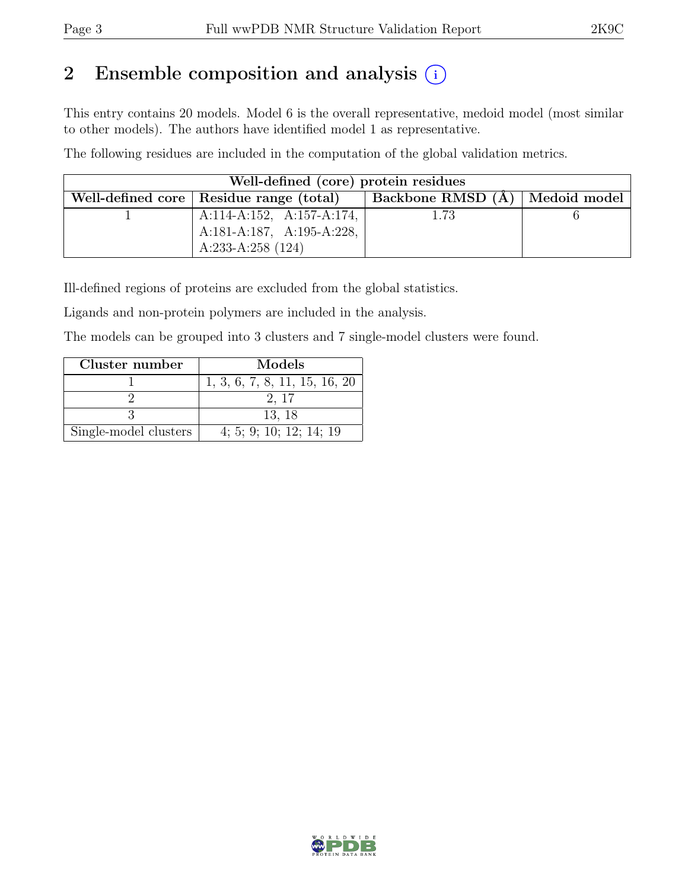# 2 Ensemble composition and analysis  $(i)$

This entry contains 20 models. Model 6 is the overall representative, medoid model (most similar to other models). The authors have identified model 1 as representative.

The following residues are included in the computation of the global validation metrics.

| Well-defined (core) protein residues |                                           |                                                      |  |  |  |  |  |
|--------------------------------------|-------------------------------------------|------------------------------------------------------|--|--|--|--|--|
|                                      | Well-defined core   Residue range (total) | $\perp$ Backbone RMSD (Å) $\mid$ Medoid model $\mid$ |  |  |  |  |  |
|                                      | A:114-A:152, A:157-A:174,                 | 1.73                                                 |  |  |  |  |  |
|                                      | A:181-A:187, A:195-A:228,                 |                                                      |  |  |  |  |  |
|                                      | A:233-A:258 $(124)$                       |                                                      |  |  |  |  |  |

Ill-defined regions of proteins are excluded from the global statistics.

Ligands and non-protein polymers are included in the analysis.

The models can be grouped into 3 clusters and 7 single-model clusters were found.

| Cluster number        | Models                        |
|-----------------------|-------------------------------|
|                       | 1, 3, 6, 7, 8, 11, 15, 16, 20 |
|                       | 2.17                          |
|                       | 13, 18                        |
| Single-model clusters | 4; 5; 9; 10; 12; 14; 19       |

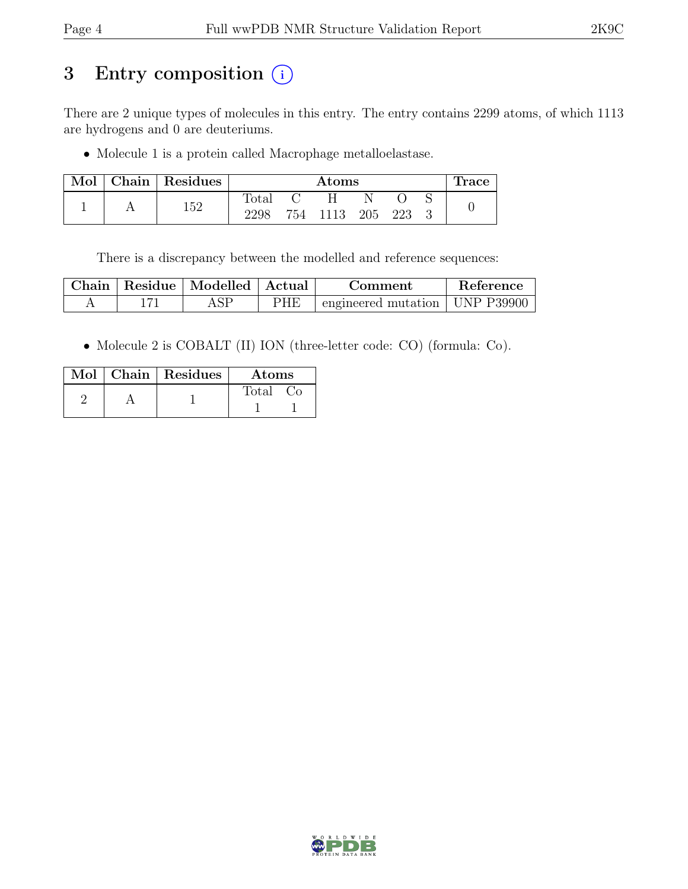# 3 Entry composition (i)

There are 2 unique types of molecules in this entry. The entry contains 2299 atoms, of which 1113 are hydrogens and 0 are deuteriums.

• Molecule 1 is a protein called Macrophage metalloelastase.

| Mol |     | Chain   Residues | $\rm{Atoms}$   |      |     |     |  | race |  |
|-----|-----|------------------|----------------|------|-----|-----|--|------|--|
|     |     |                  | $_{\rm Total}$ |      |     |     |  |      |  |
|     | 152 | 2298             | 754            | 1113 | 205 | 223 |  |      |  |

There is a discrepancy between the modelled and reference sequences:

| $\mathbb C$ hain | Residue   Modelled   Actual |     | Comment                          | Reference |
|------------------|-----------------------------|-----|----------------------------------|-----------|
|                  |                             | PHE | engineered mutation   UNP P39900 |           |

• Molecule 2 is COBALT (II) ION (three-letter code: CO) (formula: Co).

|  | $Mol$   Chain   Residues | Atoms |
|--|--------------------------|-------|
|  |                          | Total |

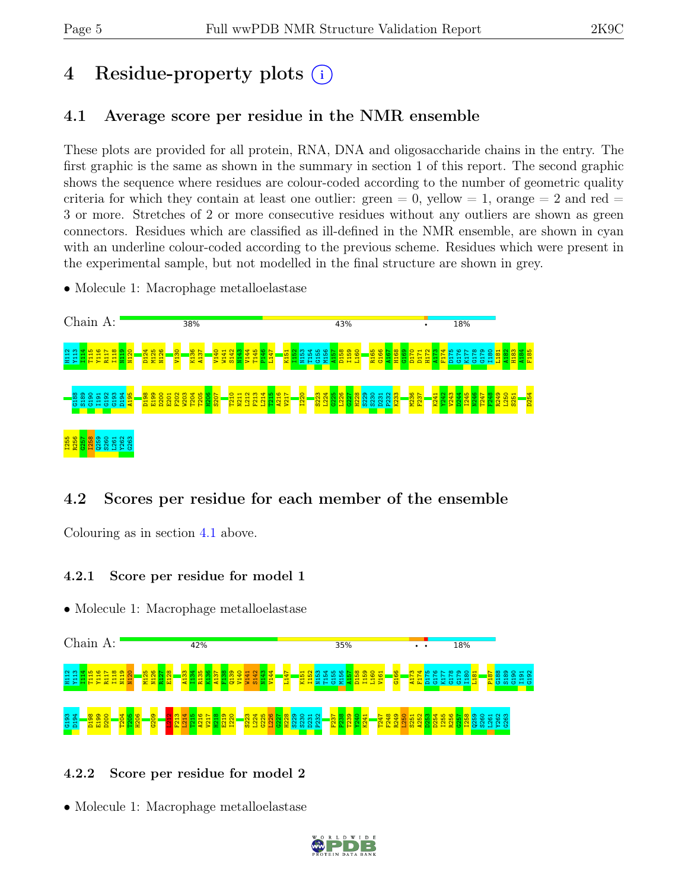# 4 Residue-property plots (i)

# <span id="page-4-0"></span>4.1 Average score per residue in the NMR ensemble

These plots are provided for all protein, RNA, DNA and oligosaccharide chains in the entry. The first graphic is the same as shown in the summary in section 1 of this report. The second graphic shows the sequence where residues are colour-coded according to the number of geometric quality criteria for which they contain at least one outlier: green  $= 0$ , yellow  $= 1$ , orange  $= 2$  and red  $=$ 3 or more. Stretches of 2 or more consecutive residues without any outliers are shown as green connectors. Residues which are classified as ill-defined in the NMR ensemble, are shown in cyan with an underline colour-coded according to the previous scheme. Residues which were present in the experimental sample, but not modelled in the final structure are shown in grey.

• Molecule 1: Macrophage metalloelastase



## 4.2 Scores per residue for each member of the ensemble

Colouring as in section [4.1](#page-4-0) above.

#### 4.2.1 Score per residue for model 1

• Molecule 1: Macrophage metalloelastase



#### 4.2.2 Score per residue for model 2

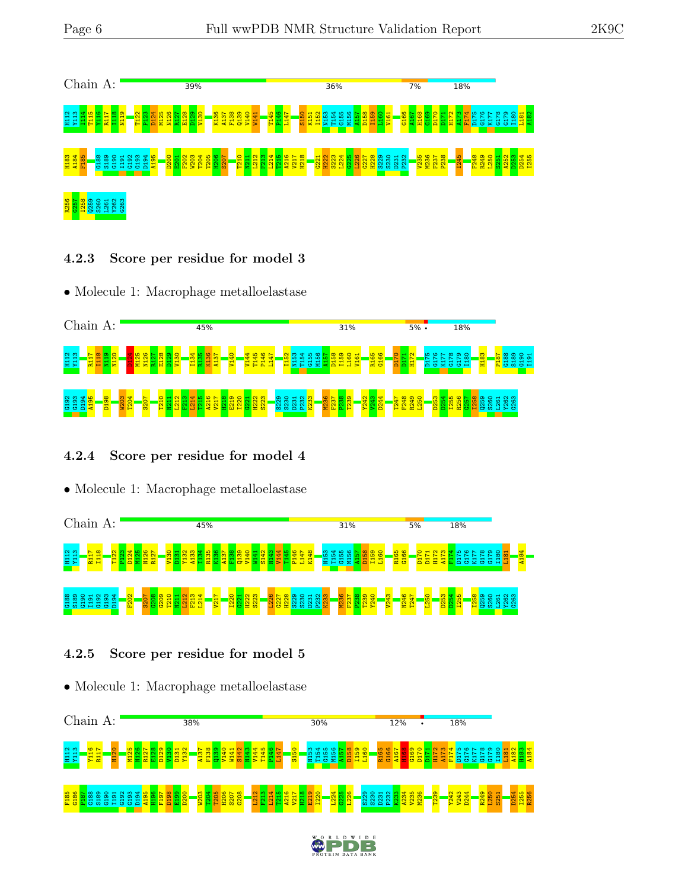

#### 4.2.3 Score per residue for model 3

• Molecule 1: Macrophage metalloelastase



## 4.2.4 Score per residue for model 4

• Molecule 1: Macrophage metalloelastase



## 4.2.5 Score per residue for model 5

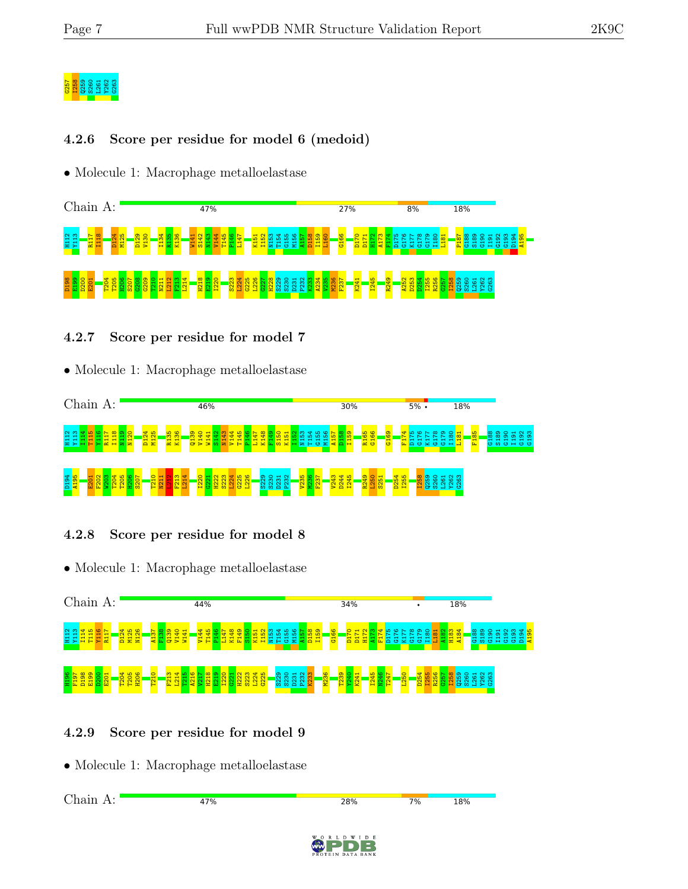# G257 I258 Q259 S260 L261 Y262 G263

#### 4.2.6 Score per residue for model 6 (medoid)

• Molecule 1: Macrophage metalloelastase



#### 4.2.7 Score per residue for model 7

#### • Molecule 1: Macrophage metalloelastase



## 4.2.8 Score per residue for model 8

• Molecule 1: Macrophage metalloelastase



## 4.2.9 Score per residue for model 9

• Molecule 1: Macrophage metalloelastase

Chain A:47% 28%  $7%$ **18%**  $I$   $D$   $E$ 

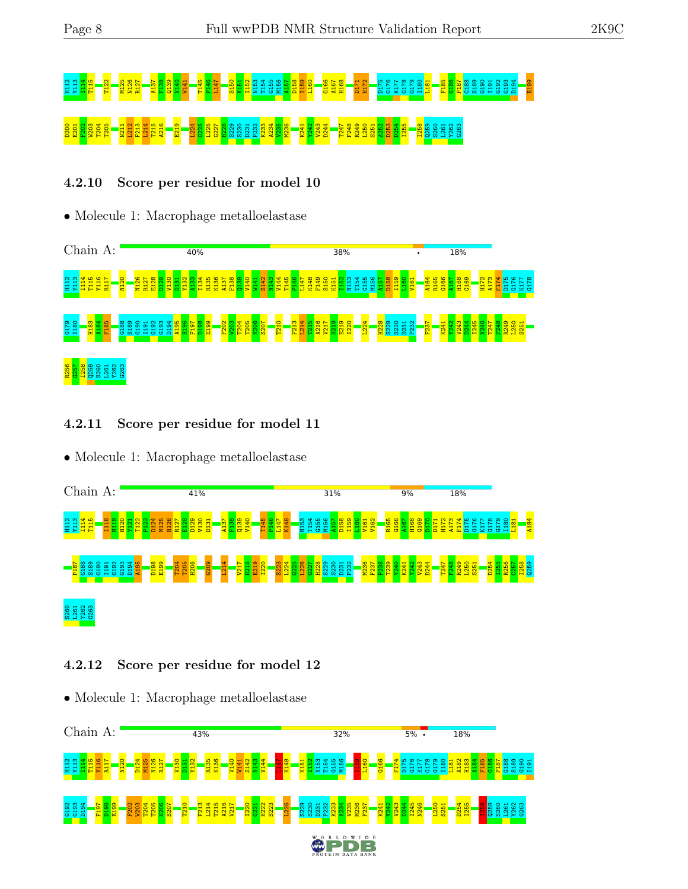# 고고 다음 아이들이 있습니다. 그 사람들은 그 사람들은 그 사람들을 하는 것이다. 그 사람들은 그 사람들을 사용하는 것이라고 있습니다. 그 사람들은 그 사람들을 사용하고 있습니다. 그 사람들은 그 <br>그 그 사람들은 그 사람들은 그 사람들을 하고 있습니다. 그 사람들은 그 사람들을 하는 것이다. 그 사람들은 그 사람들을 하는 것이라고 있습니다. 그 사람들은 그 사람들을 하는 것이 없다. 그 사람 D200 E201 F202 W203 T204 T205 N211 L212 F213 L214 T215 A216 E219 L224 G225 L226 G227 H228 S229 S230 D231 P232 K233 A234 V235 M236 K241 Y242 V243 D244 T247 F248 R249 L250 S251 A252 D253 D254 I255 I258 Q259 S260 L261 Y262 G263

### 4.2.10 Score per residue for model 10

• Molecule 1: Macrophage metalloelastase



#### 4.2.11 Score per residue for model 11

• Molecule 1: Macrophage metalloelastase



#### 4.2.12 Score per residue for model 12

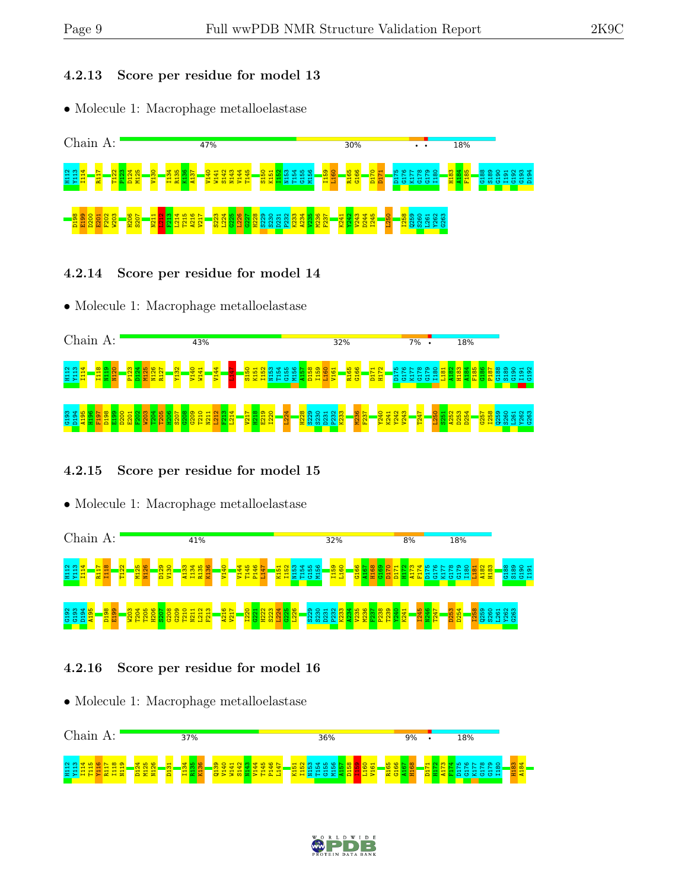#### 4.2.13 Score per residue for model 13

• Molecule 1: Macrophage metalloelastase



#### 4.2.14 Score per residue for model 14

• Molecule 1: Macrophage metalloelastase



#### 4.2.15 Score per residue for model 15

• Molecule 1: Macrophage metalloelastase



#### 4.2.16 Score per residue for model 16



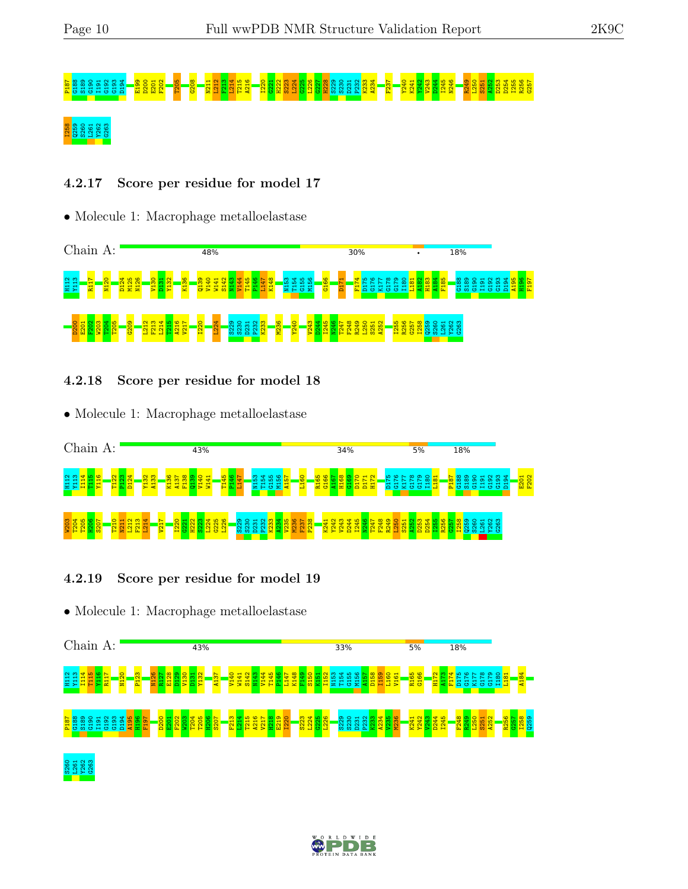# P187 G188 S189 G190 I191 G192 G193 D194 E199 D200 E201 F202 T205 G208 N211 L212 F213 L214 T215 A216 I220 G221 H222 S223 L224 G225 L226 G227 H228 S229 S230 D231 P232 K233 A234 F237 Y240 K241 Y242 V243 D244 I245 N246 R249 L250 S251 A252 D253 D254 I255 R256 G257 I258 Q259 S260 L261 Y262 G263

### 4.2.17 Score per residue for model 17

• Molecule 1: Macrophage metalloelastase



#### 4.2.18 Score per residue for model 18

• Molecule 1: Macrophage metalloelastase



#### 4.2.19 Score per residue for model 19



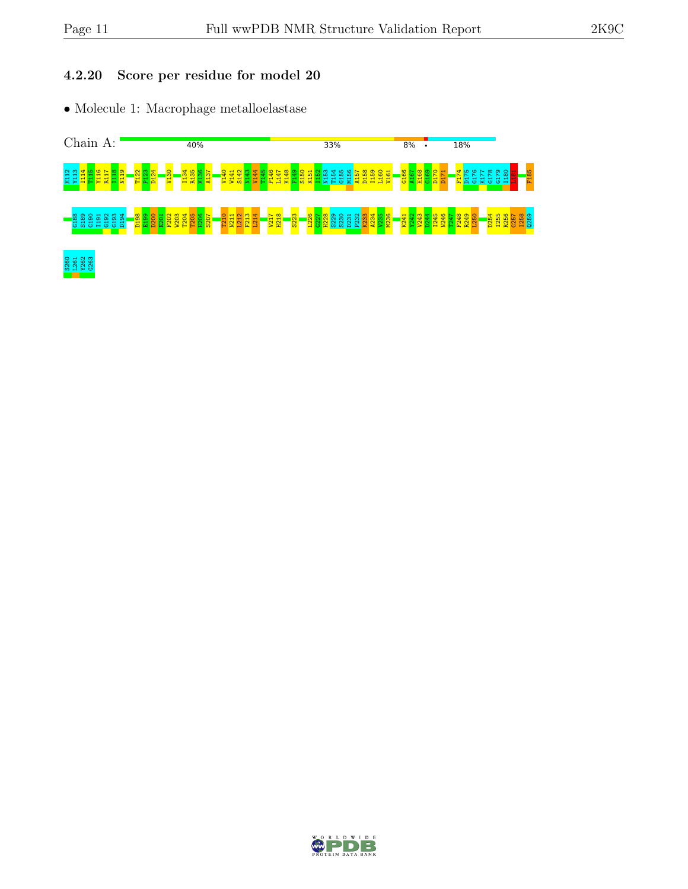#### 4.2.20 Score per residue for model 20



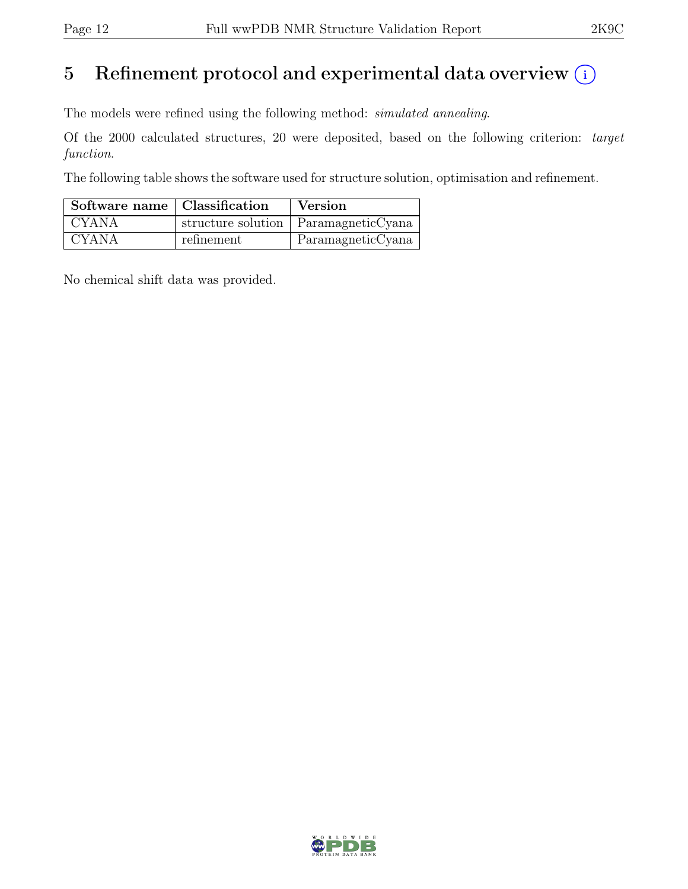# 5 Refinement protocol and experimental data overview  $(i)$

The models were refined using the following method: simulated annealing.

Of the 2000 calculated structures, 20 were deposited, based on the following criterion: target function.

The following table shows the software used for structure solution, optimisation and refinement.

| Software name   Classification |            | <b>Version</b>                         |
|--------------------------------|------------|----------------------------------------|
| CYANA                          |            | structure solution   ParamagneticCyana |
| <b>CYANA</b>                   | refinement | ParamagneticCyana                      |

No chemical shift data was provided.

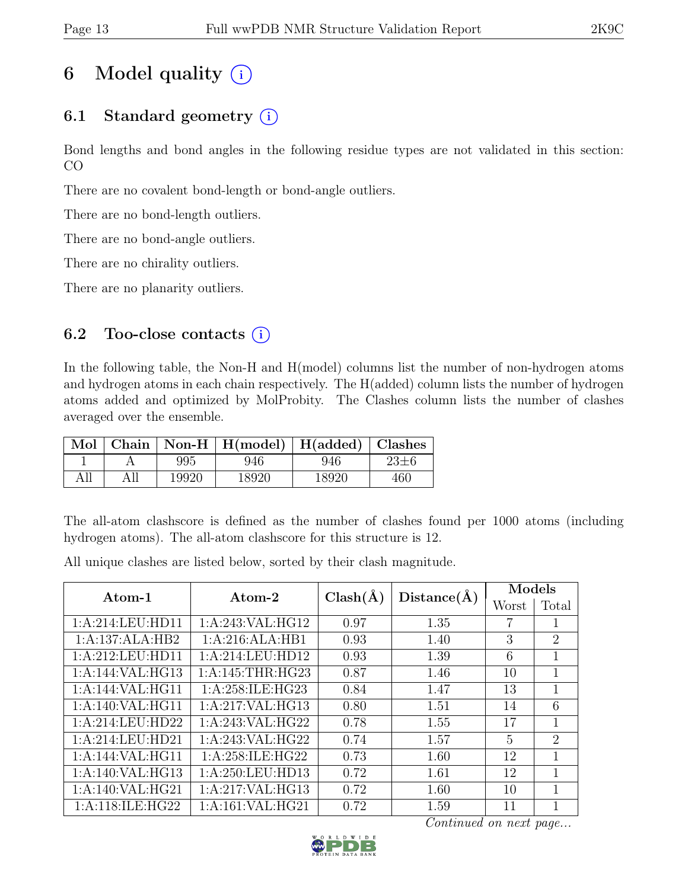# 6 Model quality  $(i)$

# 6.1 Standard geometry  $(i)$

Bond lengths and bond angles in the following residue types are not validated in this section: CO

There are no covalent bond-length or bond-angle outliers.

There are no bond-length outliers.

There are no bond-angle outliers.

There are no chirality outliers.

There are no planarity outliers.

## 6.2 Too-close contacts  $(i)$

In the following table, the Non-H and H(model) columns list the number of non-hydrogen atoms and hydrogen atoms in each chain respectively. The H(added) column lists the number of hydrogen atoms added and optimized by MolProbity. The Clashes column lists the number of clashes averaged over the ensemble.

| Mol |       | Chain   Non-H   $H(model)$   $H(added)$   Clashes |       |     |
|-----|-------|---------------------------------------------------|-------|-----|
|     | 995   | 946                                               | 946   |     |
| All | 19920 | 18920                                             | 18920 | 460 |

The all-atom clashscore is defined as the number of clashes found per 1000 atoms (including hydrogen atoms). The all-atom clashscore for this structure is 12.

All unique clashes are listed below, sorted by their clash magnitude.

| Atom-1           | Atom-2                         | $Clash(\AA)$ | Distance(A) | Models         |                |
|------------------|--------------------------------|--------------|-------------|----------------|----------------|
|                  |                                |              |             | Worst          | Total          |
| 1:A:214:LEU:HD11 | 1:A:243:VAL:HG12               | 0.97         | 1.35        |                | 1              |
| 1:A:137:ALA:HB2  | 1:A:216:ALA:HB1                | 0.93         | 1.40        | 3              | 2              |
| 1:A:212:LEU:HD11 | 1:A:214:LEU:HD12               | 0.93         | 1.39        | 6              | 1              |
| 1:A:144:VAL:HG13 | 1: A:145:THR:HG23              | 0.87         | 1.46        | 10             | 1              |
| 1:A:144:VAL:HG11 | 1:A:258:ILE:HG23               | 0.84         | 1.47        | 13             | 1              |
| 1:A:140:VAL:HG11 | 1:A:217:VAL:HG13               | 0.80         | 1.51        | 14             | 6              |
| 1:A:214:LEU:HD22 | 1:A:243:VAL:HG22               | 0.78         | 1.55        | 17             | 1              |
| 1:A:214:LEU:HD21 | $1:A:243:VAL: \overline{HG22}$ | 0.74         | 1.57        | $\overline{5}$ | $\overline{2}$ |
| 1:A:144:VAL:HG11 | 1:A:258:ILE:HG22               | 0.73         | 1.60        | 12             | 1              |
| 1:A:140:VAL:HG13 | 1:A:250:LEU:HD13               | 0.72         | 1.61        | 12             | 1              |
| 1:A:140:VAL:HG21 | 1:A:217:VAL:HG13               | 0.72         | 1.60        | 10             | 1              |
| 1:A:118:ILE:HG22 | 1:A:161:VAL:HG21               | 0.72         | 1.59        | 11             |                |

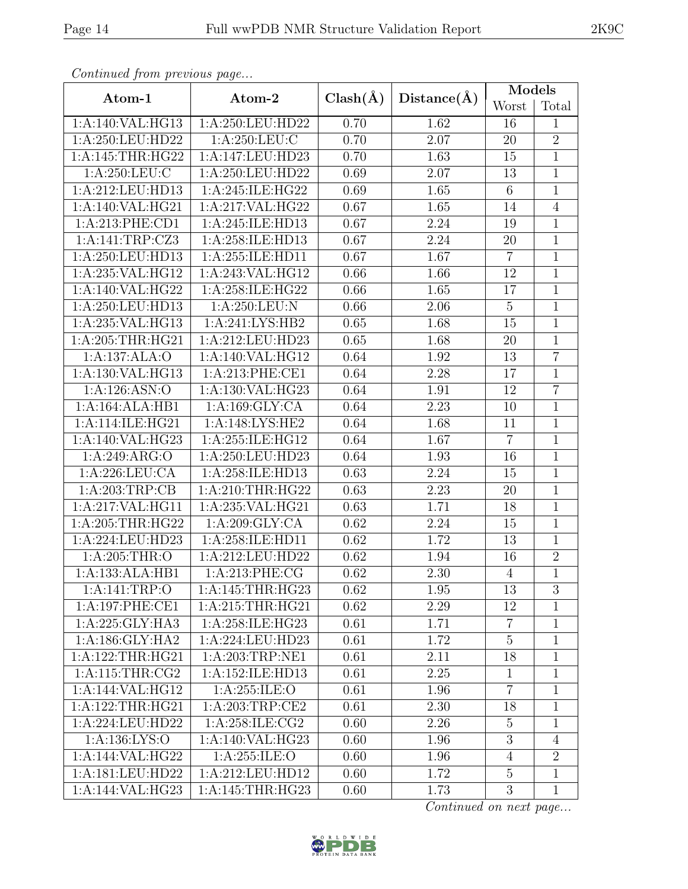|--|

| Continued from previous page |                                   |              |                   | Models          |                |  |
|------------------------------|-----------------------------------|--------------|-------------------|-----------------|----------------|--|
| Atom-1                       | Atom-2                            | $Clash(\AA)$ | Distance(A)       | Worst           | Total          |  |
| 1:A:140:VAL:HG13             | 1:A:250:LEU:HD22                  | 0.70         | 1.62              | 16              | $\mathbf{1}$   |  |
| 1:A:250:LEU:HD22             | 1:A:250:LEU:C                     | 0.70         | 2.07              | 20              | $\overline{2}$ |  |
| 1:A:145:THR:HG22             | 1:A:147:LEU:HD23                  | 0.70         | 1.63              | 15              | $\overline{1}$ |  |
| 1: A:250:LEU:C               | 1:A:250:LEU:HD22                  | 0.69         | 2.07              | 13              | $\mathbf 1$    |  |
| 1:A:212:LEU:HD13             | 1:A:245:ILE:HG22                  | 0.69         | 1.65              | $6\phantom{.}6$ | $\mathbf{1}$   |  |
| 1:A:140:VAL:HG21             | 1:A:217:VAL:HG22                  | 0.67         | $\overline{1.65}$ | 14              | $\overline{4}$ |  |
| 1:A:213:PHE:CD1              | 1:A:245:ILE:HD13                  | 0.67         | 2.24              | 19              | 1              |  |
| 1:A:141:TRP:CZ3              | 1:A:258:ILE:HD13                  | 0.67         | 2.24              | 20              | $\mathbf{1}$   |  |
| 1:A:250:LEU:HD13             | 1:A:255:ILE:HD11                  | 0.67         | 1.67              | $\overline{7}$  | 1              |  |
| 1:A:235:VAL:HG12             | 1:A:243:VAL:HG12                  | 0.66         | 1.66              | 12              | $\mathbf{1}$   |  |
| 1:A:140:VAL:HG22             | 1:A:258:ILE:HG22                  | 0.66         | 1.65              | 17              | $\overline{1}$ |  |
| 1:A:250:LEU:HD13             | $1:A:250:\overline{\text{LEU:N}}$ | 0.66         | 2.06              | $\overline{5}$  | $\overline{1}$ |  |
| 1:A:235:VAL:HG13             | 1:A:241:LYS:HB2                   | 0.65         | 1.68              | 15              | $\mathbf{1}$   |  |
| 1:A:205:THR:HG21             | 1:A:212:LEU:HD23                  | 0.65         | 1.68              | 20              | $\mathbf{1}$   |  |
| 1:A:137:ALA:O                | 1:A:140:VAL:HG12                  | 0.64         | 1.92              | 13              | $\overline{7}$ |  |
| 1:A:130:VAL:HG13             | 1:A:213:PHE:CE1                   | 0.64         | 2.28              | 17              | $\overline{1}$ |  |
| 1:A:126:ASN:O                | 1:A:130:VAL:HG23                  | 0.64         | 1.91              | 12              | 7              |  |
| 1:A:164:ALA:HB1              | 1:A:169:GLY:CA                    | 0.64         | $\overline{2.23}$ | 10              | $\mathbf{1}$   |  |
| 1:A:114:ILE:HG21             | 1:A:148:LYS:HE2                   | 0.64         | 1.68              | 11              | $\mathbf{1}$   |  |
| 1:A:140:VAL:HG23             | 1:A:255:ILE:HG12                  | 0.64         | 1.67              | $\overline{7}$  | $\overline{1}$ |  |
| 1:A:249:ARG:O                | 1:A:250:LEU:HD23                  | 0.64         | 1.93              | 16              | $\mathbf{1}$   |  |
| 1:A:226:LEU:CA               | 1:A:258:ILE:HD13                  | 0.63         | 2.24              | 15              | $\overline{1}$ |  |
| 1:A:203:TRP:CB               | 1:A:210:THR:HG22                  | 0.63         | 2.23              | 20              | $\mathbf{1}$   |  |
| 1:A:217:VAL:HG11             | 1:A:235:VAL:HG21                  | 0.63         | 1.71              | 18              | $\mathbf{1}$   |  |
| 1:A:205:THR:HG22             | 1: A:209: GLY:CA                  | 0.62         | $2.24\,$          | 15              | $\mathbf{1}$   |  |
| 1:A:224:LEU:HD23             | 1:A:258:ILE:HD11                  | 0.62         | 1.72              | 13              | 1              |  |
| 1: A:205:THR:O               | 1:A:212:LEU:HD22                  | 0.62         | 1.94              | 16              | $\overline{2}$ |  |
| 1:A:133:ALA:HB1              | 1:A:213:PHE:CG                    | 0.62         | 2.30              | $\overline{4}$  | $\mathbf 1$    |  |
| 1:A:141:TRP:O                | 1: A:145:THR:HG23                 | 0.62         | 1.95              | 13              | 3              |  |
| 1:A:197:PHE:CE1              | 1: A:215:THR:HG21                 | 0.62         | 2.29              | 12              | $\mathbf 1$    |  |
| 1:A:225:GLY:HA3              | 1:A:258:ILE:HG23                  | 0.61         | 1.71              | $\overline{7}$  | $\mathbf{1}$   |  |
| 1: A: 186: GLY: HA2          | 1:A:224:LEU:HD23                  | 0.61         | 1.72              | $\overline{5}$  | 1              |  |
| 1:A:122:THR:HG21             | 1:A:203:TRP:NE1                   | 0.61         | 2.11              | 18              | $\mathbf{1}$   |  |
| 1: A:115:THR:CG2             | 1:A:152:ILE:HD13                  | 0.61         | 2.25              | $\mathbf{1}$    | 1              |  |
| 1:A:144:VAL:HG12             | 1:A:255:ILE:O                     | 0.61         | 1.96              | $\overline{7}$  | $\overline{1}$ |  |
| 1:A:122:THR:HG21             | 1:A:203:TRP:CE2                   | 0.61         | 2.30              | 18              | 1              |  |
| 1:A:224:LEU:HD22             | 1:A:258:ILE:CG2                   | 0.60         | 2.26              | $5\,$           | 1              |  |
| 1:A:136:LYS:O                | 1:A:140:VAL:HG23                  | 0.60         | 1.96              | $\overline{3}$  | $\overline{4}$ |  |
| 1:A:144:VAL:HG22             | 1: A:255: ILE: O                  | 0.60         | 1.96              | $\overline{4}$  | $\overline{2}$ |  |
| 1:A:181:LEU:HD22             | 1:A:212:LEU:HD12                  | 0.60         | 1.72              | $\mathbf 5$     | $\mathbf{1}$   |  |
| 1:A:144:VAL:HG23             | 1: A:145:THR:HG23                 | 0.60         | 1.73              | 3               | $\mathbf{1}$   |  |

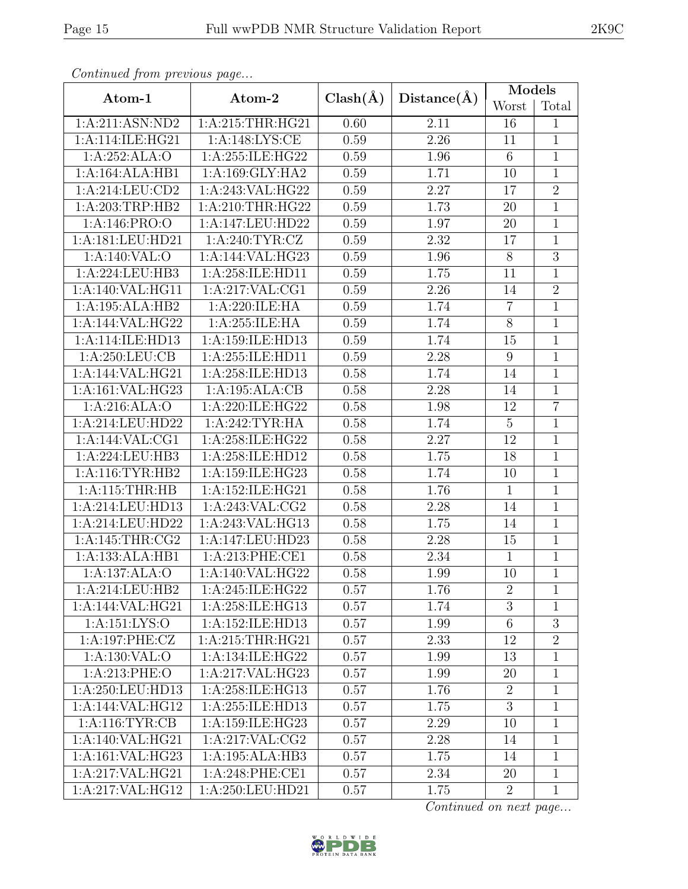|                                     | Atom-2             | $Clash(\AA)$ |             | Models         |                |  |
|-------------------------------------|--------------------|--------------|-------------|----------------|----------------|--|
| Atom-1                              |                    |              | Distance(A) | Worst          | Total          |  |
| 1:A:211:ASN:ND2                     | 1:A:215:THR:HG21   | 0.60         | 2.11        | 16             | $\mathbf{1}$   |  |
| 1:A:114:ILE:HG21                    | 1: A:148: LYS: CE  | 0.59         | 2.26        | 11             | $\mathbf{1}$   |  |
| 1:A:252:ALA:O                       | 1:A:255:ILE:HG22   | 0.59         | 1.96        | 6              | $\mathbf{1}$   |  |
| 1:A:164:ALA:HB1                     | 1: A:169: GLY: HA2 | 0.59         | 1.71        | 10             | $\mathbf{1}$   |  |
| 1:A:214:LEU:CD2                     | 1:A:243:VAL:HG22   | 0.59         | 2.27        | 17             | $\overline{2}$ |  |
| 1:A:203:TRP:HB2                     | 1: A:210:THR:HG22  | 0.59         | 1.73        | 20             | $\mathbf{1}$   |  |
| 1: A:146: PRO:O                     | 1:A:147:LEU:HD22   | 0.59         | 1.97        | 20             | $\mathbf{1}$   |  |
| 1:A:181:LEU:HD21                    | 1: A:240: TYR: CZ  | 0.59         | 2.32        | 17             | $\mathbf{1}$   |  |
| 1:A:140:VAL:O                       | 1:A:144:VAL:HG23   | 0.59         | 1.96        | $8\,$          | $\overline{3}$ |  |
| 1:A:224:LEU:HB3                     | 1:A:258:ILE:HD11   | 0.59         | 1.75        | 11             | $\mathbf{1}$   |  |
| 1:A:140:VAL:HG11                    | 1:A:217:VAL:CG1    | 0.59         | 2.26        | 14             | $\overline{2}$ |  |
| 1:A:195:ALA:HB2                     | 1:A:220:ILE:HA     | 0.59         | 1.74        | $\overline{7}$ | $\overline{1}$ |  |
| 1:A:144:VAL:HG22                    | 1:A:255:ILE:HA     | 0.59         | 1.74        | $8\,$          | $\mathbf 1$    |  |
| 1:A:114:ILE:HD13                    | 1:A:159:ILE:HD13   | 0.59         | 1.74        | 15             | $\mathbf{1}$   |  |
| 1: A:250:LEU:CB                     | 1:A:255:ILE:HD11   | 0.59         | 2.28        | 9              | $\mathbf 1$    |  |
| 1:A:144:VAL:HG21                    | 1:A:258:ILE:HD13   | 0.58         | 1.74        | 14             | $\mathbf{1}$   |  |
| 1:A:161:VAL:HG23                    | 1:A:195:ALA:CB     | 0.58         | 2.28        | 14             | $\mathbf 1$    |  |
| 1:A:216:ALA:O                       | 1:A:220:ILE:HG22   | 0.58         | 1.98        | 12             | $\overline{7}$ |  |
| 1:A:214:LEU:HD22                    | 1:A:242:TYR:HA     | 0.58         | 1.74        | $\overline{5}$ | $\mathbf 1$    |  |
| 1:A:144:VAL:CG1                     | 1:A:258:ILE:HG22   | 0.58         | 2.27        | 12             | $\mathbf{1}$   |  |
| 1:A:224:LEU:HB3                     | 1:A:258:ILE:HD12   | 0.58         | 1.75        | 18             | $\mathbf{1}$   |  |
| 1: A:116: TYR: HB2                  | 1:A:159:ILE:HG23   | 0.58         | 1.74        | 10             | $\mathbf{1}$   |  |
| 1: A:115:THR:HB                     | 1:A:152:ILE:HG21   | 0.58         | 1.76        | $\mathbf{1}$   | $\mathbf{1}$   |  |
| 1:A:214:LEU:HD13                    | 1:A:243:VAL:CG2    | 0.58         | 2.28        | 14             | $\mathbf{1}$   |  |
| 1:A:214:LEU:HD22                    | 1:A:243:VAL:HG13   | 0.58         | 1.75        | 14             | $\mathbf{1}$   |  |
| 1: A:145:THR:CG2                    | 1:A:147:LEU:HD23   | 0.58         | 2.28        | 15             | $\mathbf 1$    |  |
| $1:A:133:\overline{\text{ALA:HB1}}$ | 1:A:213:PHE:CE1    | 0.58         | 2.34        | $\mathbf{1}$   | $\mathbf{1}$   |  |
| 1:A:137:ALA:O                       | 1:A:140:VAL:HG22   | 0.58         | 1.99        | 10             | $\mathbf{1}$   |  |
| 1:A:214:LEU:HB2                     | 1:A:245:ILE:HG22   | 0.57         | 1.76        | $\overline{2}$ | $\mathbf{1}$   |  |
| 1:A:144:VAL:HG21                    | 1:A:258:ILE:HG13   | 0.57         | 1.74        | 3              | $\mathbf{1}$   |  |
| 1:A:151:LYS:O                       | 1:A:152:ILE:HD13   | 0.57         | 1.99        | 6              | $\sqrt{3}$     |  |
| 1:A:197:PHE:CZ                      | 1:A:215:THR:HG21   | 0.57         | 2.33        | 12             | $\overline{2}$ |  |
| 1: A: 130: VAL: O                   | 1:A:134:ILE:HG22   | 0.57         | 1.99        | 13             | $\mathbf{1}$   |  |
| 1: A:213: PHE:O                     | 1:A:217:VAL:HG23   | 0.57         | 1.99        | 20             | $\mathbf{1}$   |  |
| 1:A:250:LEU:HD13                    | 1:A:258:ILE:HG13   | 0.57         | 1.76        | $\overline{2}$ | 1              |  |
| 1:A:144:VAL:HG12                    | 1:A:255:ILE:HD13   | 0.57         | 1.75        | 3              | 1              |  |
| 1: A:116: TYR: CB                   | 1:A:159:ILE:HG23   | 0.57         | 2.29        | 10             | 1              |  |
| 1:A:140:VAL:HG21                    | 1:A:217:VAL:CG2    | 0.57         | 2.28        | 14             | $\mathbf{1}$   |  |
| 1:A:161:VAL:HG23                    | 1:A:195:ALA:HB3    | 0.57         | 1.75        | 14             | $\mathbf{1}$   |  |
| 1:A:217:VAL:HG21                    | 1: A:248: PHE:CE1  | 0.57         | 2.34        | 20             | $\mathbf{1}$   |  |
| 1:A:217:VAL:HG12                    | 1:A:250:LEU:HD21   | 0.57         | 1.75        | $\overline{2}$ | $\mathbf{1}$   |  |

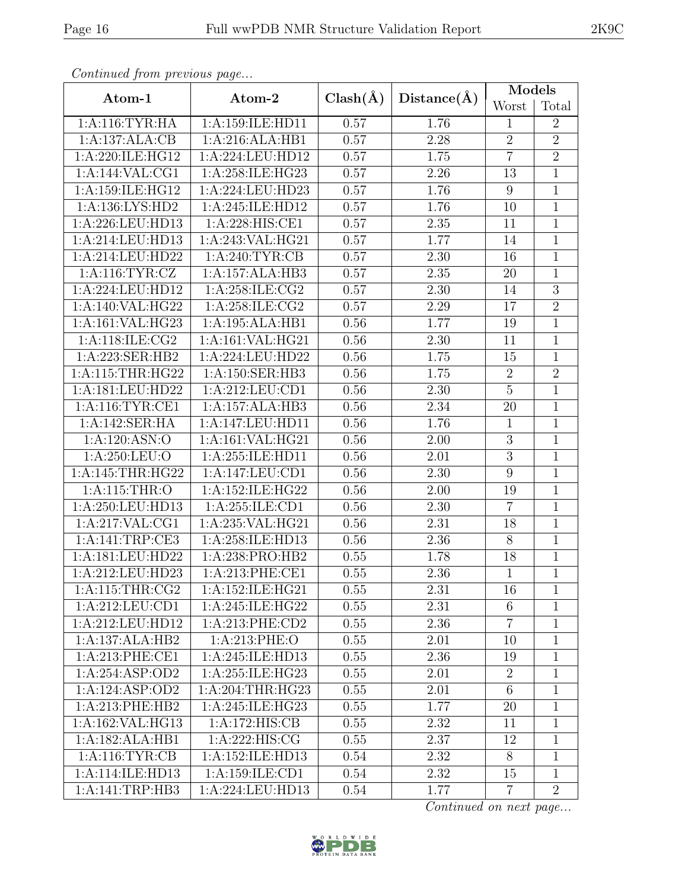| Atom-1                         | Atom-2                                          | $Clash(\AA)$ | Distance(A) | Models          |                |  |
|--------------------------------|-------------------------------------------------|--------------|-------------|-----------------|----------------|--|
|                                |                                                 |              |             | Worst           | Total          |  |
| $1:A:116:TYR:\overline{HA}$    | 1:A:159:ILE:HD11                                | 0.57         | 1.76        | $\mathbf{1}$    | $\overline{2}$ |  |
| 1:A:137:ALA:CB                 | 1:A:216:ALA:HB1                                 | 0.57         | 2.28        | $\overline{2}$  | $\overline{2}$ |  |
| 1:A:220:ILE:HG12               | 1:A:224:LEU:HD12                                | 0.57         | 1.75        | $\overline{7}$  | $\overline{2}$ |  |
| 1:A:144:VAL:CG1                | 1:A:258:ILE:HG23                                | 0.57         | 2.26        | 13              | $\mathbf{1}$   |  |
| 1:A:159:ILE:HG12               | 1:A:224:LEU:HD23                                | 0.57         | 1.76        | 9               | $\mathbf{1}$   |  |
| 1: A: 136: LYS: HD2            | 1:A:245:ILE:HD12                                | 0.57         | 1.76        | 10              | $\overline{1}$ |  |
| 1:A:226:LEU:HD13               | 1:A:228:HIS:CE1                                 | 0.57         | 2.35        | 11              | $\mathbf 1$    |  |
| 1:A:214:LEU:HD13               | 1:A:243:VAL:HG21                                | 0.57         | 1.77        | 14              | $\mathbf{1}$   |  |
| 1:A:214:LEU:HD22               | $1:A:240:\overline{\text{TYR}:CB}$              | 0.57         | 2.30        | 16              | $\mathbf{1}$   |  |
| 1: A:116: TYR: CZ              | 1:A:157:ALA:HB3                                 | 0.57         | 2.35        | 20              | $\mathbf{1}$   |  |
| 1:A:224:LEU:HD12               | 1:A:258:ILE:CG2                                 | 0.57         | 2.30        | 14              | $\overline{3}$ |  |
| 1:A:140:VAL:HG22               | 1:A:258:ILE:CG2                                 | 0.57         | 2.29        | 17              | $\overline{2}$ |  |
| 1:A:161:VAL:HG23               | 1:A:195:ALA:HB1                                 | 0.56         | 1.77        | 19              | $\mathbf{1}$   |  |
| 1: A:118: ILE: CG2             | 1:A:161:VAL:HG21                                | 0.56         | 2.30        | 11              | $\mathbf{1}$   |  |
| 1:A:223:SER:HB2                | 1:A:224:LEU:HD22                                | 0.56         | 1.75        | 15              | $\mathbf 1$    |  |
| 1:A:115:THR:HG22               | 1:A:150:SER:HB3                                 | 0.56         | 1.75        | $\overline{2}$  | $\overline{2}$ |  |
| 1:A:181:LEU:HD22               | 1:A:212:LEU:CD1                                 | 0.56         | 2.30        | $\overline{5}$  | $\mathbf{1}$   |  |
| 1: A:116: TYR: CE1             | $1:A:157:\overline{ALA:HB3}$                    | 0.56         | 2.34        | 20              | $\mathbf{1}$   |  |
| 1:A:142:SER:HA                 | 1:A:147:LEU:HD11                                | 0.56         | 1.76        | $\mathbf{1}$    | $\mathbf{1}$   |  |
| 1:A:120:ASN:O                  | 1:A:161:VAL:HG21                                | 0.56         | 2.00        | 3               | $\mathbf{1}$   |  |
| 1: A:250:LEU:O                 | 1:A:255:ILE:HD11                                | 0.56         | 2.01        | $\overline{3}$  | $\mathbf{1}$   |  |
| 1:A:145:THR:HG22               | 1:A:147:LEU:CD1                                 | 0.56         | 2.30        | 9               | 1              |  |
| 1: A:115:THR:O                 | 1:A:152:ILE:HG22                                | 0.56         | 2.00        | 19              | $\mathbf{1}$   |  |
| 1:A:250:LEU:HD13               | 1:A:255:ILE:CD1                                 | 0.56         | 2.30        | $\overline{7}$  | $\mathbf{1}$   |  |
| 1:A:217:VAL:CG1                | 1:A:235:VAL:HG21                                | 0.56         | 2.31        | 18              | $\mathbf{1}$   |  |
| 1:A:141:TRP:CE3                | 1:A:258:ILE:HD13                                | 0.56         | 2.36        | $8\,$           | $\mathbf 1$    |  |
| 1:A:181:LEU:HD22               | 1:A:238:PRO:HB2                                 | 0.55         | 1.78        | 18              | $\mathbf{1}$   |  |
| 1:A:212:LEU:HD23               | 1:A:213:PHE:CE1                                 | 0.55         | 2.36        | 1               | $\mathbf{1}$   |  |
| 1: A:115:THR:CG2               | 1:A:152:ILE:HG21                                | 0.55         | 2.31        | 16              | $\mathbf{1}$   |  |
| 1: A:212:LEU:CD1               | $1:\overline{A}:245:\iota\text{LE}:\text{HG}22$ | 0.55         | 2.31        | 6               | 1              |  |
| 1:A:212:LEU:HD12               | 1:A:213:PHE:CD2                                 | 0.55         | 2.36        | $\overline{7}$  | 1              |  |
| 1:A:137:ALA:HB2                | 1: A:213: PHE:O                                 | 0.55         | 2.01        | 10              | 1              |  |
| $1: A:213: \overline{PHE:CE1}$ | 1:A:245:ILE:HD13                                | 0.55         | 2.36        | 19              | 1              |  |
| 1:A:254:ASP:OD2                | 1: A:255: ILE: HG23                             | 0.55         | 2.01        | $\overline{2}$  | 1              |  |
| 1:A:124:ASP:OD2                | 1: A:204:THR:HG23                               | 0.55         | 2.01        | $6\phantom{.}6$ | 1              |  |
| 1:A:213:PHE:HB2                | 1: A:245: ILE: HG23                             | 0.55         | 1.77        | 20              | 1              |  |
| 1:A:162:VAL:HG13               | 1:A:172:HIS:CB                                  | 0.55         | 2.32        | 11              | $\mathbf{1}$   |  |
| 1:A:182:ALA:HB1                | 1:A:222:HIS:CG                                  | 0.55         | 2.37        | 12              | 1              |  |
| 1:A:116:TYR:CB                 | 1:A:152:ILE:HD13                                | 0.54         | 2.32        | 8               | $\mathbf{1}$   |  |
| 1:A:114:ILE:HD13               | 1:A:159:ILE:CD1                                 | 0.54         | 2.32        | 15              | $\mathbf 1$    |  |
| 1:A:141:TRP:HB3                | 1:A:224:LEU:HD13                                | 0.54         | 1.77        | $\overline{7}$  | $\overline{2}$ |  |

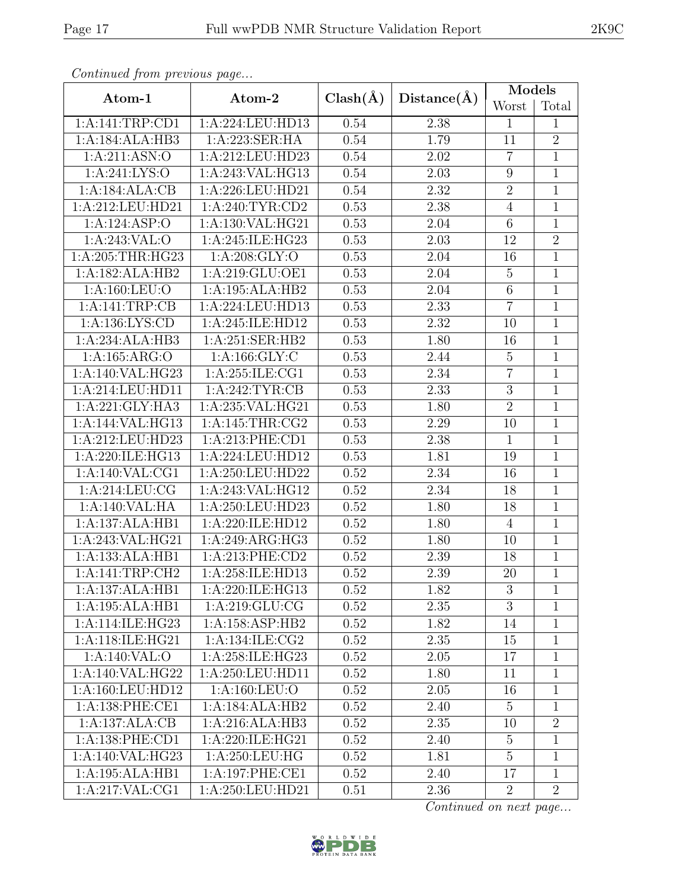| Continual from previous page |                   |              |             | Models          |                |  |
|------------------------------|-------------------|--------------|-------------|-----------------|----------------|--|
| Atom-1                       | Atom-2            | $Clash(\AA)$ | Distance(A) | Worst           | Total          |  |
| 1:A:141:TRP:CD1              | 1:A:224:LEU:HD13  | 0.54         | 2.38        | $\mathbf{1}$    | $\mathbf 1$    |  |
| 1:A:184:ALA:HB3              | 1:A:223:SER:HA    | 0.54         | 1.79        | 11              | $\overline{2}$ |  |
| 1:A:211:ASN:O                | 1:A:212:LEU:HD23  | 0.54         | $2.02\,$    | $\overline{7}$  | $\mathbf{1}$   |  |
| 1: A:241: LYS:O              | 1:A:243:VAL:HG13  | 0.54         | 2.03        | $9\phantom{.0}$ | $\mathbf 1$    |  |
| 1:A:184:ALA:CB               | 1:A:226:LEU:HD21  | 0.54         | 2.32        | $\sqrt{2}$      | $\mathbf 1$    |  |
| 1:A:212:LEU:HD21             | 1:A:240:TYR:CD2   | 0.53         | 2.38        | $\overline{4}$  | $\mathbf 1$    |  |
| 1:A:124:ASP:O                | 1:A:130:VAL:HG21  | 0.53         | 2.04        | $\,6\,$         | $\mathbf{1}$   |  |
| 1:A:243:VAL:O                | 1:A:245:ILE:HG23  | 0.53         | 2.03        | 12              | $\overline{2}$ |  |
| 1:A:205:THR:HG23             | 1: A:208: GLY:O   | 0.53         | 2.04        | 16              | $\overline{1}$ |  |
| 1:A:182:ALA:HB2              | 1:A:219:GLU:OE1   | 0.53         | 2.04        | $\overline{5}$  | $\mathbf 1$    |  |
| 1:A:160:LEU:O                | 1:A:195:ALA:HB2   | 0.53         | 2.04        | $\,6\,$         | $\mathbf 1$    |  |
| 1:A:141:TRP:CB               | 1:A:224:LEU:HD13  | 0.53         | 2.33        | $\overline{7}$  | $\mathbf 1$    |  |
| 1:A:136:LYS:CD               | 1:A:245:ILE:HD12  | 0.53         | 2.32        | 10              | $\mathbf{1}$   |  |
| 1:A:234:ALA:HB3              | 1:A:251:SER:HB2   | 0.53         | 1.80        | 16              | $\mathbf 1$    |  |
| 1:A:165:ARG:O                | 1: A: 166: GLY: C | 0.53         | 2.44        | $\mathbf 5$     | $\mathbf 1$    |  |
| 1:A:140:VAL:HG23             | 1:A:255:ILE:CG1   | 0.53         | 2.34        | $\overline{7}$  | $\mathbf 1$    |  |
| 1:A:214:LEU:HD11             | 1: A:242:TYR:CB   | 0.53         | 2.33        | $\sqrt{3}$      | $\mathbf{1}$   |  |
| 1:A:221:GLY:HA3              | 1:A:235:VAL:HG21  | 0.53         | 1.80        | $\overline{2}$  | $\mathbf 1$    |  |
| 1:A:144:VAL:HG13             | 1: A:145:THR:CG2  | 0.53         | 2.29        | 10              | $\mathbf{1}$   |  |
| 1:A:212:LEU:HD23             | 1: A:213: PHE:CD1 | 0.53         | 2.38        | $\mathbf{1}$    | $\mathbf{1}$   |  |
| 1:A:220:ILE:HG13             | 1:A:224:LEU:HD12  | 0.53         | 1.81        | 19              | $\mathbf{1}$   |  |
| 1: A:140: VAL:CG1            | 1:A:250:LEU:HD22  | 0.52         | $2.34\,$    | 16              | $\mathbf 1$    |  |
| 1:A:214:LEU:CG               | 1:A:243:VAL:HG12  | 0.52         | 2.34        | 18              | $\mathbf{1}$   |  |
| 1:A:140:VAL:HA               | 1:A:250:LEU:HD23  | 0.52         | 1.80        | 18              | $\mathbf 1$    |  |
| 1:A:137:ALA:HB1              | 1:A:220:ILE:HD12  | 0.52         | 1.80        | $\overline{4}$  | $\mathbf 1$    |  |
| 1:A:243:VAL:HG21             | 1:A:249:ARG:HG3   | 0.52         | 1.80        | 10              | $\mathbf{1}$   |  |
| 1:A:133:ALA:HB1              | 1: A:213: PHE:CD2 | 0.52         | 2.39        | 18              | $\mathbf 1$    |  |
| 1:A:141:TRP:CH2              | 1:A:258:ILE:HD13  | 0.52         | 2.39        | 20              | $\overline{1}$ |  |
| 1:A:137:ALA:HB1              | 1:A:220:ILE:HG13  | 0.52         | 1.82        | 3               | 1              |  |
| 1:A:195:ALA:HB1              | 1:A:219:GLU:CG    | 0.52         | 2.35        | 3               | $\mathbf{1}$   |  |
| 1: A:114: ILE: HG23          | 1:A:158:ASP:HB2   | 0.52         | 1.82        | 14              | $\mathbf{1}$   |  |
| 1:A:118:ILE:HG21             | 1:A:134:ILE:CG2   | 0.52         | 2.35        | 15              | $\mathbf{1}$   |  |
| 1:A:140:VAL:O                | 1:A:258:ILE:HG23  | 0.52         | 2.05        | 17              | 1              |  |
| 1:A:140:VAL:HG22             | 1:A:250:LEU:HD11  | 0.52         | 1.80        | 11              | 1              |  |
| 1: A: 160: LEU: HD12         | 1: A: 160: LEU: O | 0.52         | 2.05        | 16              | 1              |  |
| 1: A: 138: PHE: CE1          | 1:A:184:ALA:HB2   | 0.52         | 2.40        | $\overline{5}$  | $\mathbf{1}$   |  |
| 1:A:137:ALA:CB               | 1:A:216:ALA:HB3   | 0.52         | 2.35        | 10              | $\sqrt{2}$     |  |
| 1: A: 138: PHE: CD1          | 1:A:220:ILE:HG21  | 0.52         | 2.40        | $\overline{5}$  | $\mathbf 1$    |  |
| 1: A:140: VAL: HG23          | 1: A:250:LEU:HG   | 0.52         | 1.81        | $\overline{5}$  | $\mathbf{1}$   |  |
| 1:A:195:ALA:HB1              | 1:A:197:PHE:CE1   | 0.52         | 2.40        | 17              | $\mathbf{1}$   |  |
| 1:A:217:VAL:CG1              | 1:A:250:LEU:HD21  | 0.51         | 2.36        | $\overline{2}$  | $\overline{2}$ |  |

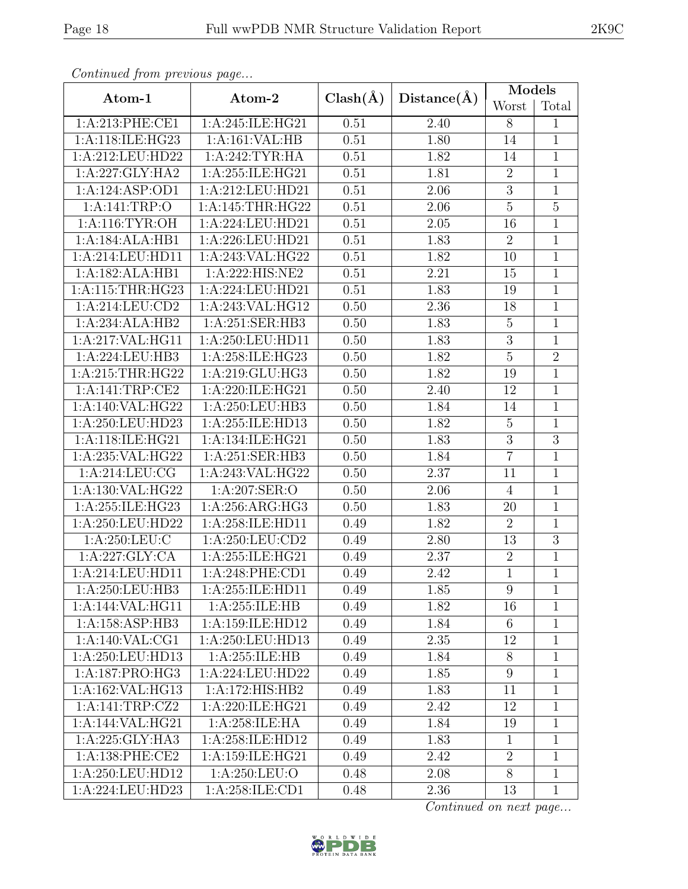| Atom-1                  | Atom-2              | $Clash(\AA)$      | Distance(A) | Models          |                |  |
|-------------------------|---------------------|-------------------|-------------|-----------------|----------------|--|
|                         |                     |                   |             | Worst           | Total          |  |
| 1: A:213: PHE:CE1       | 1:A:245:ILE:HG21    | 0.51              | 2.40        | 8               | $\mathbf{1}$   |  |
| 1:A:118:ILE:HG23        | 1:A:161:VAL:HB      | 0.51              | 1.80        | 14              | $\mathbf{1}$   |  |
| 1:A:212:LEU:HD22        | 1:A:242:TYR:HA      | 0.51              | 1.82        | 14              | $\mathbf{1}$   |  |
| 1:A:227:GLY:HA2         | 1:A:255:ILE:HG21    | 0.51              | 1.81        | $\overline{2}$  | $\mathbf{1}$   |  |
| 1:A:124:ASP:OD1         | 1:A:212:LEU:HD21    | 0.51              | 2.06        | 3               | $\mathbf{1}$   |  |
| 1:A:141:TRP:O           | 1:A:145:THR:HG22    | $\overline{0.51}$ | 2.06        | $\overline{5}$  | $\overline{5}$ |  |
| 1: A:116: TYR:OH        | 1:A:224:LEU:HD21    | 0.51              | 2.05        | 16              | $\mathbf{1}$   |  |
| 1:A:184:ALA:HB1         | 1:A:226:LEU:HD21    | 0.51              | 1.83        | $\overline{2}$  | $\mathbf{1}$   |  |
| 1:A:214:LEU:HD11        | 1:A:243:VAL:HG22    | 0.51              | 1.82        | 10              | $\mathbf{1}$   |  |
| 1:A:182:ALA:HB1         | 1:A:222:HIS:NE2     | 0.51              | 2.21        | 15              | $\mathbf{1}$   |  |
| 1:A:115:THR:HG23        | 1:A:224:LEU:HD21    | 0.51              | 1.83        | 19              | $\mathbf{1}$   |  |
| 1: A:214:LEU:CD2        | 1:A:243:VAL:HG12    | 0.50              | 2.36        | 18              | $\mathbf{1}$   |  |
| 1:A:234:ALA:HB2         | 1:A:251:SER:HB3     | 0.50              | 1.83        | $\overline{5}$  | 1              |  |
| 1:A:217:VAL:HG11        | 1:A:250:LEU:HD11    | 0.50              | 1.83        | $\overline{3}$  | $\mathbf{1}$   |  |
| 1:A:224:LEU:HB3         | 1:A:258:ILE:HG23    | 0.50              | 1.82        | $\overline{5}$  | $\overline{2}$ |  |
| 1:A:215:THR:HG22        | 1:A:219:GLU:HG3     | 0.50              | 1.82        | 19              | $\mathbf{1}$   |  |
| 1:A:141:TRP:CE2         | 1:A:220:ILE:HG21    | 0.50              | 2.40        | 12              | $\mathbf{1}$   |  |
| 1:A:140:VAL:HG22        | 1:A:250:LEU:HB3     | 0.50              | 1.84        | 14              | $\mathbf{1}$   |  |
| 1:A:250:LEU:HD23        | 1:A:255:ILE:HD13    | 0.50              | 1.82        | $\overline{5}$  | $\mathbf{1}$   |  |
| 1:A:118:ILE:HG21        | 1:A:134:ILE:HG21    | 0.50              | 1.83        | 3               | 3              |  |
| 1:A:235:VAL:HG22        | 1:A:251:SER:HB3     | 0.50              | 1.84        | $\overline{7}$  | $\mathbf{1}$   |  |
| 1: A:214:LEU:CG         | 1:A:243:VAL:HG22    | 0.50              | 2.37        | 11              | 1              |  |
| 1:A:130:VAL:HG22        | 1: A:207: SER:O     | 0.50              | 2.06        | $\overline{4}$  | $\mathbf{1}$   |  |
| 1:A:255:ILE:HG23        | 1:A:256:ARG:HG3     | 0.50              | 1.83        | 20              | $\mathbf{1}$   |  |
| 1:A:250:LEU:HD22        | 1:A:258:ILE:HD11    | 0.49              | 1.82        | $\overline{2}$  | $\mathbf{1}$   |  |
| 1:A:250:LEU:C           | 1: A:250: LEU:CD2   | 0.49              | 2.80        | 13              | $\overline{3}$ |  |
| 1:A:227:GLY:CA          | 1:A:255:ILE:HG21    | 0.49              | 2.37        | $\overline{2}$  | $\mathbf{1}$   |  |
| $1:$ A: $214:$ LEU:HD11 | 1:A:248:PHE:CD1     | 0.49              | 2.42        | $\mathbf 1$     | $\mathbf{1}$   |  |
| 1:A:250:LEU:HB3         | 1:A:255:ILE:HD11    | 0.49              | 1.85        | 9               | $\mathbf{1}$   |  |
| 1:A:144:VAL:HG11        | 1:A:255:ILE:HB      | 0.49              | 1.82        | 16              | $\mathbf{1}$   |  |
| 1:A:158:ASP:HB3         | 1:A:159:ILE:HD12    | 0.49              | 1.84        | $\,6$           | $\mathbf{1}$   |  |
| 1:A:140:VAL:CG1         | 1:A:250:LEU:HD13    | 0.49              | 2.35        | 12              | 1              |  |
| 1:A:250:LEU:HD13        | 1:A:255:ILE:HB      | 0.49              | 1.84        | 8               | $\mathbf{1}$   |  |
| 1: A: 187: PRO:HG3      | 1:A:224:LEU:HD22    | 0.49              | 1.85        | $9\phantom{.0}$ | $\mathbf{1}$   |  |
| 1:A:162:VAL:HG13        | 1:A:172:HIS:HB2     | 0.49              | 1.83        | 11              | $\mathbf{1}$   |  |
| 1:A:141:TRP:CZ2         | 1: A:220: ILE: HG21 | 0.49              | 2.42        | 12              | $\mathbf 1$    |  |
| 1:A:144:VAL:HG21        | 1:A:258:ILE:HA      | 0.49              | 1.84        | 19              | $\mathbf{1}$   |  |
| 1:A:225:GLY:HA3         | 1:A:258:ILE:HD12    | 0.49              | 1.83        | $\mathbf{1}$    | $\mathbf{1}$   |  |
| 1: A:138: PHE:CE2       | 1:A:159:ILE:HG21    | 0.49              | 2.42        | $\overline{2}$  | $\mathbf{1}$   |  |
| 1:A:250:LEU:HD12        | 1:A:250:LEU:O       | 0.48              | 2.08        | 8               | $\mathbf{1}$   |  |
| 1:A:224:LEU:HD23        | 1:A:258:ILE:CD1     | 0.48              | 2.36        | 13              | 1              |  |

Continued from

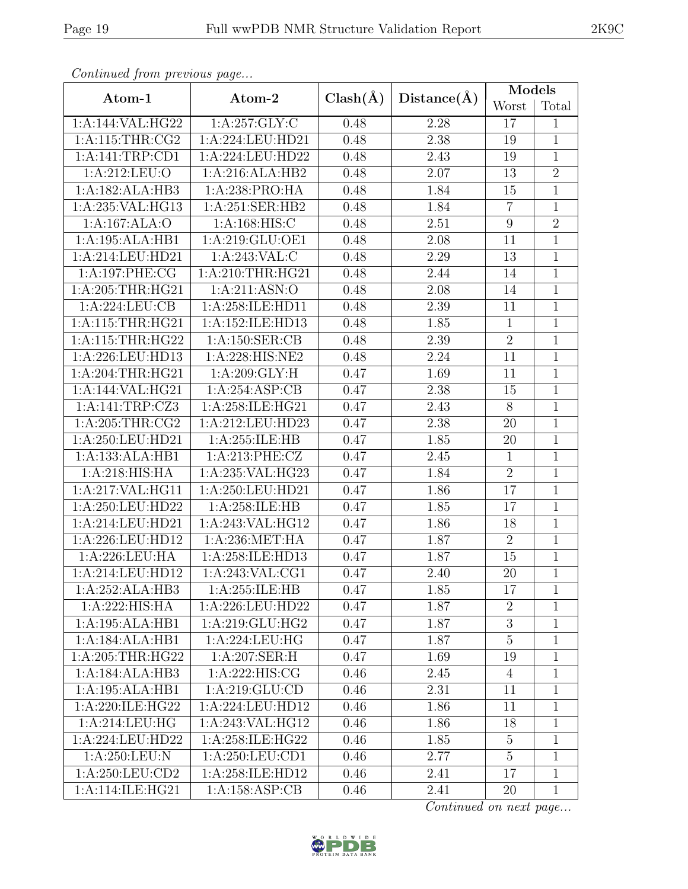| <i>inued from previous page</i> |                   |              |             |                |                |  |  |
|---------------------------------|-------------------|--------------|-------------|----------------|----------------|--|--|
| Atom-1                          | Atom-2            | $Clash(\AA)$ | Distance(A) | Models         |                |  |  |
|                                 |                   |              |             | Worst          | Total          |  |  |
| !44:VAL:HG22                    | 1: A:257: GLY: C  | 0.48         | 2.28        | 17             | 1              |  |  |
| 115:THR:CG2                     | 1:A:224:LEU:HD21  | 0.48         | 2.38        | 19             | 1              |  |  |
| 141:TRP:CD1                     | 1:A:224:LEU:HD22  | 0.48         | 2.43        | 19             | 1              |  |  |
| \:212:LEU:O                     | 1:A:216:ALA:HB2   | 0.48         | 2.07        | 13             | $\overline{2}$ |  |  |
| 182:ALA:HB3                     | 1:A:238:PRO:HA    | 0.48         | 1.84        | 15             | 1              |  |  |
| 235: VAL: HG13                  | 1: A:251:SER:HB2  | 0.48         | 1.84        | $\overline{7}$ | 1              |  |  |
| e:167:ALA:O                     | 1: A:168: HIS:C   | 0.48         | 2.51        | 9              | $\overline{2}$ |  |  |
| 195:ALA:HB1                     | 1: A:219: GLU:OE1 | 0.48         | 2.08        | 11             | 1              |  |  |
| 214:LEU:HD21                    | 1: A:243: VAL:C   | 0.48         | 2.29        | 13             | 1              |  |  |
| :197:PHE:CG                     | 1: A:210:THR:HG21 | 0.48         | 2.44        | 14             | 1              |  |  |
| 205:THR:HG21                    | 1: A:211: ASN:O   | 0.48         | 2.08        | 14             | 1              |  |  |
| :224:LEU:CB                     | 1:A:258:ILE:HD11  | 0.48         | 2.39        | 11             | 1              |  |  |
| 15:THR:HG21                     | 1:A:152:ILE:HD13  | 0.48         | 1.85        | 1              | 1              |  |  |

| 1:A:144:VAL:HG22                          | 1: A:257: GLY: C                         | 0.48 | 2.28              | 17               | $\mathbf{1}$   |
|-------------------------------------------|------------------------------------------|------|-------------------|------------------|----------------|
| 1: A:115:THR:CG2                          | 1:A:224:LEU:HD21                         | 0.48 | 2.38              | 19               | $\mathbf{1}$   |
| 1:A:141:TRP:CD1                           | 1:A:224:LEU:HD22                         | 0.48 | 2.43              | 19               | $\mathbf{1}$   |
| 1:A:212:LEU:O                             | 1:A:216:ALA:HB2                          | 0.48 | $\overline{2.07}$ | 13               | $\overline{2}$ |
| 1:A:182:ALA:HB3                           | 1:A:238:PRO:HA                           | 0.48 | 1.84              | 15               | $\mathbf{1}$   |
| 1:A:235:VAL:HG13                          | 1:A:251:SER:HB2                          | 0.48 | 1.84              | $\overline{7}$   | $\mathbf{1}$   |
| 1:A:167:ALA:O                             | 1: A:168: HIS: C                         | 0.48 | 2.51              | $\boldsymbol{9}$ | $\overline{2}$ |
| 1:A:195:ALA:HB1                           | 1: A:219: GLU:OE1                        | 0.48 | 2.08              | 11               | $\mathbf{1}$   |
| 1:A:214:LEU:HD21                          | 1:A:243:VAL:CC                           | 0.48 | 2.29              | 13               | $\mathbf{1}$   |
| 1:A:197:PHE:CG                            | 1:A:210:THR:HG21                         | 0.48 | 2.44              | 14               | $\mathbf{1}$   |
| 1: A:205:THR:HG21                         | 1:A:211:ASN:O                            | 0.48 | 2.08              | 14               | $\mathbf{1}$   |
| 1:A:224:LEU:CB                            | 1:A:258:ILE:HD11                         | 0.48 | 2.39              | 11               | $\mathbf{1}$   |
| 1: A:115:THR:HG21                         | 1:A:152:ILE:HD13                         | 0.48 | 1.85              | $\mathbf{1}$     | $\mathbf{1}$   |
| 1: A:115:THR:HG22                         | $1:A:\overline{150:SER:CB}$              | 0.48 | 2.39              | $\overline{2}$   | $\overline{1}$ |
| 1:A:226:LEU:HD13                          | 1:A:228:HIS:NE2                          | 0.48 | 2.24              | 11               | $\mathbf{1}$   |
| 1: A:204:THR:HG21                         | 1:A:209:GLY:H                            | 0.47 | 1.69              | 11               | $1\,$          |
| 1:A:144:VAL:HG21                          | 1:A:254:ASP:CB                           | 0.47 | 2.38              | 15               | $\mathbf{1}$   |
| 1:A:141:TRP:CZ3                           | 1:A:258:ILE:HG21                         | 0.47 | 2.43              | $8\,$            | $1\,$          |
| 1: A:205:THR:CG2                          | 1:A:212:LEU:HD23                         | 0.47 | 2.38              | $20\,$           | $\overline{1}$ |
| 1:A:250:LEU:HD21                          | 1:A:255:ILE:HB                           | 0.47 | 1.85              | 20               | $\mathbf 1$    |
| 1:A:133:ALA:HB1                           | 1:A:213:PHE:CZ                           | 0.47 | 2.45              | $\mathbf{1}$     | $\overline{1}$ |
| 1:A:218:HIS:HA                            | 1:A:235:VAL:HG23                         | 0.47 | 1.84              | $\sqrt{2}$       | $\mathbf{1}$   |
| 1:A:217:VAL:HG11                          | 1:A:250:LEU:HD21                         | 0.47 | 1.86              | 17               | $\overline{1}$ |
| 1: A:250:LEU:HD22                         | 1:A:258:ILE:HB                           | 0.47 | 1.85              | 17               | $\overline{1}$ |
| $1:\overline{A}:214:\underline{LEU}:HD21$ | 1:A:243:VAL:HG12                         | 0.47 | 1.86              | 18               | $\mathbf{1}$   |
| 1:A:226:LEU:HD12                          | 1: A:236: MET:HA                         | 0.47 | 1.87              | $\overline{2}$   | $\mathbf{1}$   |
| 1:A:226:LEU:HA                            | $1:\overline{A}:258:\overline{ILE}:HD13$ | 0.47 | 1.87              | 15               | $\mathbf{1}$   |
| 1:A:214:LEU:HD12                          | 1:A:243:VAL:CG1                          | 0.47 | $\overline{2}.40$ | $20\,$           | $1\,$          |
| 1:A:252:ALA:HB3                           | 1:A:255:ILE:HB                           | 0.47 | 1.85              | 17               | $\mathbf 1$    |
| 1:A:222:HIS:HA                            | 1:A:226:LEU:HD22                         | 0.47 | 1.87              | $\overline{2}$   | $\mathbf{1}$   |
| 1:A:195:ALA:HB1                           | 1: A:219: GLU: HG2                       | 0.47 | 1.87              | 3                | $\perp$        |
| 1:A:184:ALA:HB1                           | 1:A:224:LEU:HG                           | 0.47 | 1.87              | $\overline{5}$   | $\mathbf 1$    |
| 1: A:205:THR:HG22                         | 1:A:207:SER:H                            | 0.47 | 1.69              | 19               | 1              |
| 1:A:184:ALA:HB3                           | 1:A:222:HIS:CG                           | 0.46 | 2.45              | $\overline{4}$   | 1              |
| 1:A:195:ALA:HB1                           | 1: A:219: GLU:CD                         | 0.46 | 2.31              | 11               | 1              |
| 1:A:220:ILE:HG22                          | 1:A:224:LEU:HD12                         | 0.46 | 1.86              | 11               | $\mathbf{1}$   |
| 1:A:214:LEU:HG                            | 1:A:243:VAL:HG12                         | 0.46 | 1.86              | 18               | 1              |
| 1:A:224:LEU:HD22                          | 1:A:258:ILE:HG22                         | 0.46 | 1.85              | $\overline{5}$   | $\mathbf 1$    |
| 1:A:250:LEU:N                             | 1: A:250:LEU:CD1                         | 0.46 | 2.77              | $\overline{5}$   | 1              |
| 1:A:250:LEU:CD2                           | 1:A:258:ILE:HD12                         | 0.46 | 2.41              | 17               | $\mathbf{1}$   |
| 1:A:114:ILE:HG21                          | 1:A:158:ASP:CB                           | 0.46 | 2.41              | 20               | $\mathbf{1}$   |

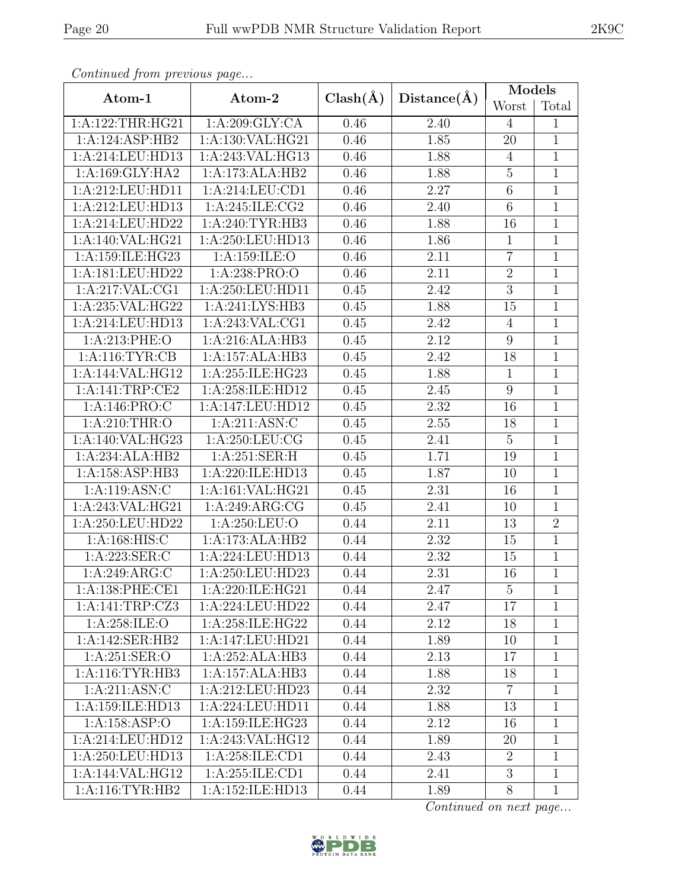| $\mathbf{r}$        | $\mathbf{r} \sim$   |              |                   | Models           |                |
|---------------------|---------------------|--------------|-------------------|------------------|----------------|
| Atom-1              | Atom-2              | $Clash(\AA)$ | Distance(A)       | Worst            | Total          |
| 1:A:122:THR:HG21    | 1:A:209:GLY:CA      | 0.46         | 2.40              | $\overline{4}$   | $\mathbf{1}$   |
| 1:A:124:ASP:HB2     | 1:A:130:VAL:HG21    | 0.46         | 1.85              | $20\,$           | $\mathbf{1}$   |
| 1:A:214:LEU:HD13    | 1:A:243:VAL:HG13    | 0.46         | 1.88              | $\overline{4}$   | $\mathbf{1}$   |
| 1: A: 169: GLY: HA2 | 1:A:173:ALA:HB2     | 0.46         | 1.88              | $\overline{5}$   | $\overline{1}$ |
| 1:A:212:LEU:HD11    | 1: A:214:LEU:CD1    | 0.46         | 2.27              | $6\,$            | $\mathbf{1}$   |
| 1:A:212:LEU:HD13    | 1:A:245:ILE:CG2     | 0.46         | 2.40              | $\overline{6}$   | $\mathbf{1}$   |
| 1:A:214:LEU:HD22    | 1: A:240:TYR:HB3    | 0.46         | 1.88              | 16               | $\mathbf{1}$   |
| 1:A:140:VAL:HG21    | 1:A:250:LEU:HD13    | 0.46         | 1.86              | $\mathbf{1}$     | $\mathbf{1}$   |
| 1:A:159:ILE:HG23    | 1:A:159:ILE:O       | 0.46         | 2.11              | $\overline{7}$   | $\mathbf{1}$   |
| 1:A:181:LEU:HD22    | 1:A:238:PRO:O       | 0.46         | 2.11              | $\sqrt{2}$       | $\overline{1}$ |
| 1:A:217:VAL:CG1     | 1:A:250:LEU:HD11    | 0.45         | 2.42              | $\overline{3}$   | $\overline{1}$ |
| 1:A:235:VAL:HG22    | 1:A:241:LYS:HB3     | 0.45         | 1.88              | 15               | $\overline{1}$ |
| 1:A:214:LEU:HD13    | 1:A:243:VAL:CG1     | 0.45         | 2.42              | $\overline{4}$   | $\mathbf{1}$   |
| 1:A:213:PHE:O       | 1:A:216:ALA:HB3     | 0.45         | 2.12              | $\boldsymbol{9}$ | $\overline{1}$ |
| 1: A:116: TYR: CB   | 1:A:157:ALA:HB3     | 0.45         | 2.42              | 18               | $\mathbf{1}$   |
| 1:A:144:VAL:HG12    | 1:A:255:ILE:HG23    | 0.45         | 1.88              | $\mathbf{1}$     | $\overline{1}$ |
| 1:A:141:TRP:CE2     | 1:A:258:ILE:HD12    | 0.45         | 2.45              | $\boldsymbol{9}$ | $\mathbf{1}$   |
| 1: A:146: PRO:C     | 1:A:147:LEU:HD12    | 0.45         | 2.32              | 16               | $\mathbf{1}$   |
| 1: A:210:THR:O      | 1: A:211: ASN: C    | 0.45         | 2.55              | 18               | $\mathbf{1}$   |
| 1:A:140:VAL:HG23    | 1:A:250:LEU:CG      | 0.45         | 2.41              | $\overline{5}$   | $\mathbf{1}$   |
| 1:A:234:ALA:HB2     | 1:A:251:SER:H       | 0.45         | 1.71              | 19               | $\overline{1}$ |
| 1:A:158:ASP:HB3     | 1:A:220:ILE:HD13    | 0.45         | 1.87              | 10               | $\mathbf{1}$   |
| 1:A:119:ASN:C       | 1:A:161:VAL:HG21    | 0.45         | 2.31              | 16               | $\mathbf{1}$   |
| 1:A:243:VAL:HG21    | 1: A:249: ARG:CG    | 0.45         | 2.41              | 10               | $\mathbf{1}$   |
| 1:A:250:LEU:HD22    | 1: A:250:LEU:O      | 0.44         | 2.11              | 13               | $\overline{2}$ |
| 1:A:168:HIS:C       | 1:A:173:ALA:HB2     | 0.44         | 2.32              | 15               | $\overline{1}$ |
| 1:A:223:SER:C       | 1:A:224:LEU:HD13    | 0.44         | 2.32              | 15               | $\mathbf{1}$   |
| 1:A:249:ARG:C       | 1:A:250:LEU:HD23    | 0.44         | 2.31              | 16               | $\mathbf{1}$   |
| 1: A: 138: PHE: CE1 | 1: A:220: ILE: HG21 | 0.44         | 2.47              | $\overline{5}$   | $\mathbf{1}$   |
| 1:A:141:TRP:CZ3     | 1:A:224:LEU:HD22    | 0.44         | 2.47              | 17               | $\mathbf{1}$   |
| 1:A:258:ILE:O       | 1:A:258:ILE:HG22    | 0.44         | 2.12              | 18               | $\mathbf{1}$   |
| 1:A:142:SER:HB2     | 1:A:147:LEU:HD21    | 0.44         | 1.89              | 10               | $\mathbf{1}$   |
| 1:A:251:SER:O       | 1:A:252:ALA:HB3     | 0.44         | 2.13              | 17               | $\mathbf{1}$   |
| 1: A:116: TYR: HB3  | 1:A:157:ALA:HB3     | 0.44         | 1.88              | 18               | $\mathbf{1}$   |
| 1:A:211:ASN:C       | 1:A:212:LEU:HD23    | 0.44         | $\overline{2.32}$ | $\overline{7}$   | $\mathbf{1}$   |
| 1:A:159:ILE:HD13    | 1:A:224:LEU:HD11    | 0.44         | 1.88              | 13               | $\mathbf{1}$   |
| 1:A:158:ASP:O       | 1:A:159:ILE:HG23    | 0.44         | 2.12              | 16               | 1              |
| 1:A:214:LEU:HD12    | 1:A:243:VAL:HG12    | 0.44         | 1.89              | 20               | 1              |
| 1:A:250:LEU:HD13    | 1:A:258:ILE:CD1     | 0.44         | 2.43              | $\overline{2}$   | $\mathbf{1}$   |
| 1:A:144:VAL:HG12    | 1:A:255:ILE:CD1     | 0.44         | 2.41              | $\overline{3}$   | $\mathbf{1}$   |
| 1: A:116: TYR: HB2  | 1:A:152:ILE:HD13    | 0.44         | 1.89              | 8                | $\mathbf{1}$   |

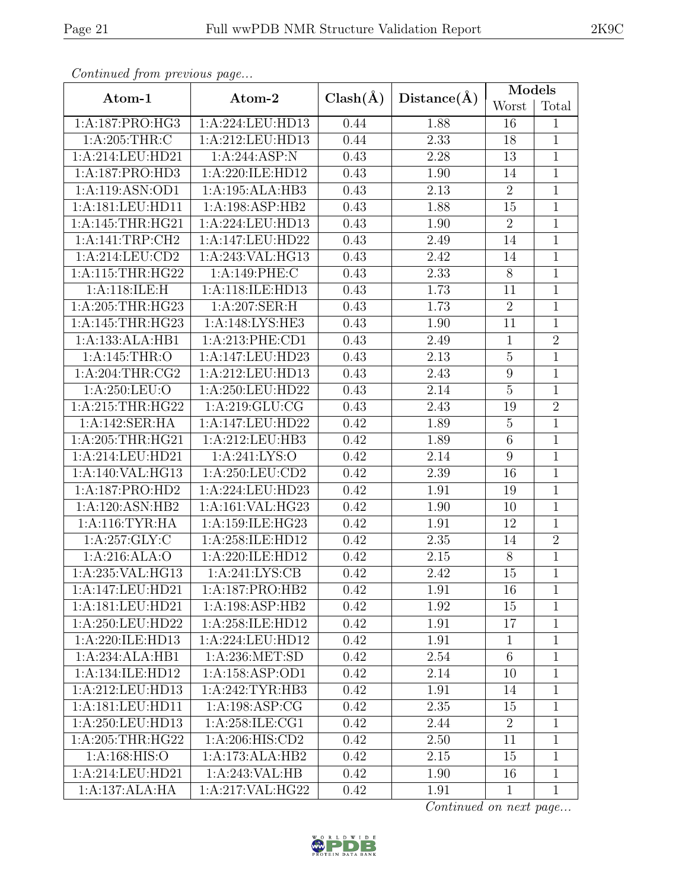|--|

| Continued from previous page |                                      |              |             | Models           |                |  |
|------------------------------|--------------------------------------|--------------|-------------|------------------|----------------|--|
| Atom-1                       | Atom-2                               | $Clash(\AA)$ | Distance(A) | Worst            | Total          |  |
| 1:A:187:PRO:HG3              | 1:A:224:LEU:HD13                     | 0.44         | 1.88        | 16               | $\mathbf{1}$   |  |
| 1: A:205:THR:C               | 1:A:212:LEU:HD13                     | 0.44         | 2.33        | 18               | $\mathbf 1$    |  |
| 1:A:214:LEU:HD21             | 1:A:244:ASP:N                        | 0.43         | 2.28        | 13               | $\mathbf 1$    |  |
| 1:A:187:PRO:HD3              | 1:A:220:ILE:HD12                     | 0.43         | 1.90        | 14               | $\mathbf{1}$   |  |
| 1:A:119:ASN:OD1              | 1:A:195:ALA:HB3                      | 0.43         | 2.13        | $\overline{2}$   | $\mathbf 1$    |  |
| 1:A:181:LEU:HD11             | 1:A:198:ASP:HB2                      | 0.43         | 1.88        | 15               | $\overline{1}$ |  |
| 1:A:145:THR:HG21             | 1:A:224:LEU:HD13                     | 0.43         | 1.90        | $\overline{2}$   | $\mathbf 1$    |  |
| 1:A:141:TRP:CH2              | 1:A:147:LEU:HD22                     | 0.43         | 2.49        | 14               | $\mathbf{1}$   |  |
| 1:A:214:LEU:CD2              | 1:A:243:VAL:HG13                     | 0.43         | 2.42        | 14               | $\mathbf 1$    |  |
| 1:A:115:THR:HG22             | 1:A:149:PHE:C                        | 0.43         | 2.33        | 8                | $\mathbf{1}$   |  |
| 1:A:118:ILE:H                | 1:A:118:ILE:HD13                     | 0.43         | 1.73        | 11               | $\mathbf{1}$   |  |
| 1: A:205:THR:HG23            | $1:A:207:\overline{\text{SER:H}}$    | 0.43         | 1.73        | $\overline{2}$   | $\mathbf{1}$   |  |
| 1:A:145:THR:HG23             | 1:A:148:LYS:HE3                      | 0.43         | 1.90        | 11               | 1              |  |
| 1:A:133:ALA:HB1              | 1:A:213:PHE:CD1                      | 0.43         | 2.49        | $\mathbf{1}$     | $\overline{2}$ |  |
| 1:A:145:THR:O                | 1:A:147:LEU:HD23                     | 0.43         | 2.13        | $\mathbf 5$      | $\mathbf{1}$   |  |
| 1:A:204:THR:CG2              | 1:A:212:LEU:HD13                     | 0.43         | 2.43        | $\boldsymbol{9}$ | $\mathbf{1}$   |  |
| 1:A:250:LEU:O                | 1:A:250:LEU:HD22                     | 0.43         | $2.14\,$    | $\mathbf 5$      | $\mathbf{1}$   |  |
| 1:A:215:THR:HG22             | 1:A:219:GLU:CG                       | 0.43         | 2.43        | 19               | $\overline{2}$ |  |
| 1:A:142:SER:HA               | 1:A:147:LEU:HD22                     | 0.42         | 1.89        | $\overline{5}$   | $\mathbf 1$    |  |
| 1:A:205:THR:HG21             | 1:A:212:LEU:HB3                      | 0.42         | 1.89        | $\,6\,$          | $\mathbf 1$    |  |
| 1:A:214:LEU:HD21             | 1: A:241:LYS:O                       | 0.42         | 2.14        | $\boldsymbol{9}$ | $\mathbf 1$    |  |
| 1:A:140:VAL:HG13             | 1:A:250:LEU:CD2                      | 0.42         | 2.39        | 16               | $\mathbf 1$    |  |
| 1:A:187:PRO:HD2              | 1:A:224:LEU:HD23                     | 0.42         | 1.91        | 19               | $\mathbf{1}$   |  |
| 1:A:120:ASN:HB2              | 1:A:161:VAL:HG23                     | 0.42         | 1.90        | 10               | $\mathbf{1}$   |  |
| 1:A:116:TYR:HA               | 1:A:159:ILE:HG23                     | 0.42         | 1.91        | 12               | $\overline{1}$ |  |
| $1:\overline{A:257:GLY:C}$   | 1:A:258:ILE:HD12                     | 0.42         | 2.35        | 14               | $\overline{2}$ |  |
| 1:A:216:ALA:O                | 1:A:220:ILE:HD12                     | 0.42         | 2.15        | 8                | $\mathbf{1}$   |  |
| 1:A:235: VAL: HG13           | 1: A:241: LYS: CB                    | 0.42         | 2.42        | 15               | $\mathbf{1}$   |  |
| 1:A:147:LEU:HD21             | 1:A:187:PRO:HB2                      | 0.42         | 1.91        | 16               | $\mathbf{1}$   |  |
| 1:A:181:LEU:HD21             | 1:A:198:ASP:HB2                      | 0.42         | 1.92        | 15               | $\mathbf{1}$   |  |
| 1:A:250:LEU:HD22             | 1:A:258:ILE:HD12                     | 0.42         | 1.91        | 17               | $\mathbf{1}$   |  |
| 1:A:220:ILE:HD13             | $1:\overline{A}:224:\text{LEU}:HD12$ | 0.42         | 1.91        | $\mathbf{1}$     | 1              |  |
| 1:A:234:ALA:HB1              | 1:A:236:MET:SD                       | 0.42         | 2.54        | 6                | $\mathbf{1}$   |  |
| 1:A:134:ILE:HD12             | 1:A:158:ASP:OD1                      | 0.42         | 2.14        | 10               | $\mathbf{1}$   |  |
| 1:A:212:LEU:HD13             | 1:A:242:TYR:HB3                      | 0.42         | 1.91        | 14               | $\mathbf{1}$   |  |
| 1:A:181:LEU:HD11             | 1: A: 198: ASP: CG                   | 0.42         | 2.35        | 15               | 1              |  |
| 1:A:250:LEU:HD13             | 1:A:258:ILE:CG1                      | 0.42         | 2.44        | $\overline{2}$   | 1              |  |
| 1: A:205:THR:HG22            | 1: A:206: HIS:CD2                    | 0.42         | 2.50        | 11               | $\mathbf{1}$   |  |
| 1: A:168: HIS:O              | 1:A:173:ALA:HB2                      | 0.42         | 2.15        | 15               | $\mathbf 1$    |  |
| 1:A:214:LEU:HD21             | 1:A:243:VAL:HB                       | 0.42         | 1.90        | 16               | $\mathbf{1}$   |  |
| 1:A:137:ALA:HA               | 1:A:217:VAL:HG22                     | 0.42         | 1.91        | $\mathbf{1}$     | $\mathbf{1}$   |  |

 $Continued$  from previce

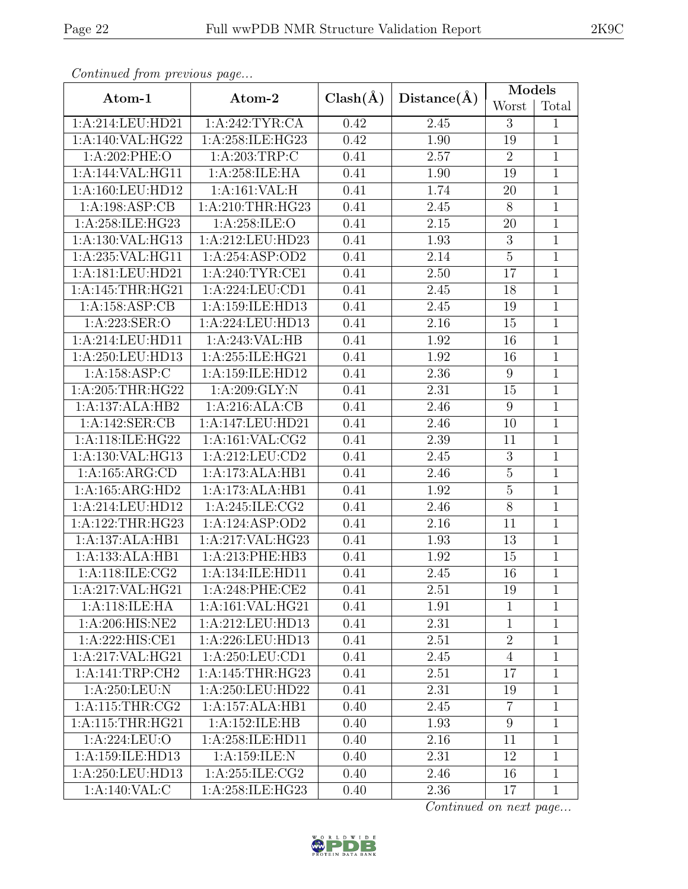|                     |                     |              |             | Models           |                |  |  |
|---------------------|---------------------|--------------|-------------|------------------|----------------|--|--|
| Atom-1              | Atom-2              | $Clash(\AA)$ | Distance(A) | Worst            | Total          |  |  |
| 1: A:214:LEU:HD21   | 1:A:242:TYR:CA      | 0.42         | 2.45        | 3                | $\mathbf{1}$   |  |  |
| 1:A:140:VAL:HG22    | 1: A:258: ILE: HG23 | 0.42         | 1.90        | 19               | $\mathbf{1}$   |  |  |
| 1:A:202:PHE:O       | 1: A:203:TRP:C      | 0.41         | $2.57\,$    | $\overline{2}$   | $\mathbf{1}$   |  |  |
| 1:A:144:VAL:HG11    | 1:A:258:ILE:HA      | 0.41         | 1.90        | 19               | $\mathbf{1}$   |  |  |
| 1:A:160:LEU:HD12    | 1:A:161:VAL:H       | 0.41         | 1.74        | 20               | $\mathbf{1}$   |  |  |
| 1:A:198:ASP:CB      | 1: A:210:THR:HG23   | 0.41         | 2.45        | $\overline{8}$   | $\overline{1}$ |  |  |
| 1:A:258:ILE:HG23    | 1:A:258:ILE:O       | 0.41         | $2.15\,$    | 20               | $\mathbf{1}$   |  |  |
| 1:A:130:VAL:HG13    | 1:A:212:LEU:HD23    | 0.41         | 1.93        | $\sqrt{3}$       | $1\,$          |  |  |
| 1:A:235:VAL:HG11    | 1:A:254:ASP:OD2     | 0.41         | 2.14        | $\overline{5}$   | $\mathbf{1}$   |  |  |
| 1:A:181:LEU:HD21    | 1:A:240:TYR:CE1     | 0.41         | $2.50\,$    | 17               | $1\,$          |  |  |
| 1:A:145:THR:HG21    | 1:A:224:LEU:CD1     | 0.41         | 2.45        | 18               | $\mathbf 1$    |  |  |
| 1:A:158:ASP:CB      | 1:A:159:ILE:HD13    | 0.41         | 2.45        | $19\,$           | $\mathbf{1}$   |  |  |
| 1:A:223:SER:O       | 1:A:224:LEU:HD13    | 0.41         | 2.16        | 15               | $\mathbf{1}$   |  |  |
| 1:A:214:LEU:HD11    | 1:A:243:VAL:HB      | 0.41         | 1.92        | 16               | $\overline{1}$ |  |  |
| 1:A:250:LEU:HD13    | 1:A:255:ILE:HG21    | 0.41         | 1.92        | 16               | $\mathbf{1}$   |  |  |
| 1:A:158:ASP:C       | 1:A:159:ILE:HD12    | 0.41         | 2.36        | $9\,$            | $\overline{1}$ |  |  |
| $1:$ A:205:THR:HG22 | 1:A:209:GLY:N       | 0.41         | 2.31        | 15               | $\mathbf{1}$   |  |  |
| 1:A:137:ALA:HB2     | 1:A:216:ALA:CB      | 0.41         | 2.46        | $\boldsymbol{9}$ | $\mathbf{1}$   |  |  |
| 1:A:142:SER:CB      | 1:A:147:LEU:HD21    | 0.41         | 2.46        | 10               | $\mathbf{1}$   |  |  |
| 1:A:118:ILE:HG22    | 1:A:161:VAL:CG2     | 0.41         | 2.39        | 11               | $\mathbf{1}$   |  |  |
| 1:A:130:VAL:HG13    | 1:A:212:LEU:CD2     | 0.41         | 2.45        | $\sqrt{3}$       | $\mathbf{1}$   |  |  |
| 1: A: 165: ARG: CD  | 1:A:173:ALA:HB1     | 0.41         | 2.46        | $\bf 5$          | $\mathbf{1}$   |  |  |
| 1:A:165:ARG:HD2     | 1:A:173:ALA:HB1     | 0.41         | 1.92        | $\overline{5}$   | $\mathbf{1}$   |  |  |
| 1:A:214:LEU:HD12    | 1:A:245:ILE:CG2     | 0.41         | 2.46        | $8\,$            | $\mathbf{1}$   |  |  |
| 1:A:122:THR:HG23    | 1:A:124:ASP:OD2     | 0.41         | 2.16        | 11               | $\mathbf{1}$   |  |  |
| 1:A:137:ALA:HB1     | 1:A:217:VAL:HG23    | 0.41         | 1.93        | 13               | $\mathbf{1}$   |  |  |
| 1:A:133:ALA:HB1     | 1:A:213:PHE:HB3     | 0.41         | $1.92\,$    | 15               | $\mathbf{1}$   |  |  |
| 1: A:118: ILE: CG2  | 1:A:134:ILE:HD11    | 0.41         | 2.45        | 16               | $\mathbf{1}$   |  |  |
| 1:A:217:VAL:HG21    | $1: A:248:$ PHE:CE2 | 0.41         | 2.51        | 19               | $\mathbf{1}$   |  |  |
| 1:A:118:ILE:HA      | 1:A:161:VAL:HG21    | 0.41         | 1.91        | $\mathbf{1}$     | 1              |  |  |
| 1:A:206:HIS:NE2     | 1:A:212:LEU:HD13    | 0.41         | 2.31        | $\mathbf{1}$     | 1              |  |  |
| 1:A:222:HIS:CE1     | 1:A:226:LEU:HD13    | 0.41         | 2.51        | $\sqrt{2}$       | $\mathbf{1}$   |  |  |
| 1:A:217:VAL:HG21    | 1:A:250:LEU:CD1     | 0.41         | 2.45        | $\overline{4}$   | $\mathbf{1}$   |  |  |
| 1:A:141:TRP:CH2     | 1: A:145:THR:HG23   | 0.41         | 2.51        | 17               | 1              |  |  |
| 1: A:250:LEU:N      | 1:A:250:LEU:HD22    | 0.41         | 2.31        | 19               | $\mathbf{1}$   |  |  |
| 1: A:115:THR:CG2    | 1:A:157:ALA:HB1     | 0.40         | 2.45        | $\overline{7}$   | $\mathbf{1}$   |  |  |
| 1: A:115:THR:HG21   | 1:A:152:ILE:HB      | 0.40         | 1.93        | 9                | $\mathbf{1}$   |  |  |
| 1:A:224:LEU:O       | 1:A:258:ILE:HD11    | 0.40         | 2.16        | 11               | $\mathbf{1}$   |  |  |
| 1:A:159:ILE:HD13    | 1:A:159:ILE:N       | 0.40         | 2.31        | 12               | $\mathbf{1}$   |  |  |
| 1:A:250:LEU:HD13    | 1: A:255: ILE: CG2  | 0.40         | 2.46        | 16               | $\mathbf{1}$   |  |  |
| 1:A:140:VAL:C       | 1:A:258:ILE:HG23    | 0.40         | 2.36        | 17               | $\mathbf{1}$   |  |  |

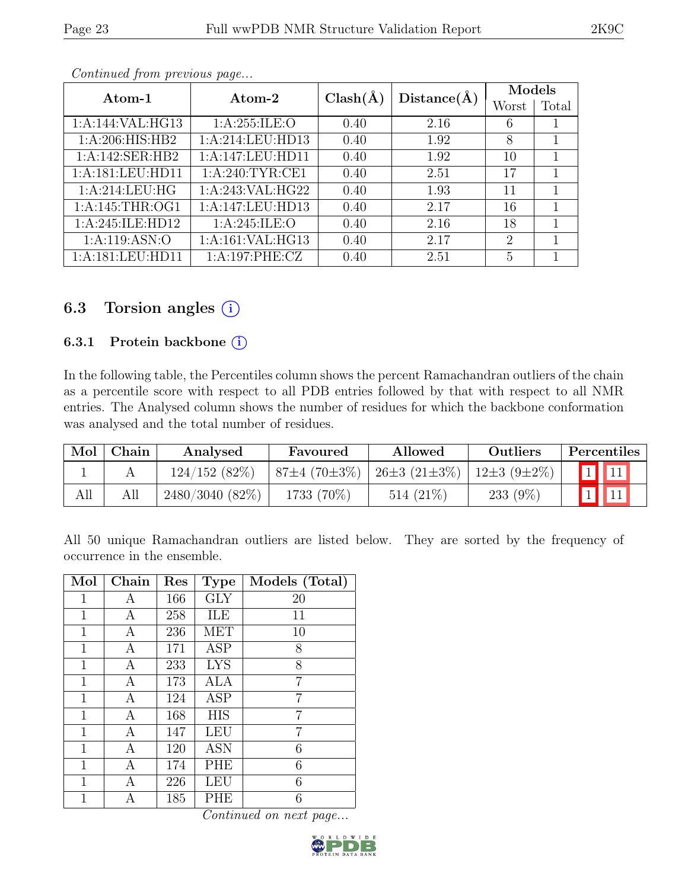|--|--|

| Atom-1             | Atom-2           | $Clash(\AA)$<br>Distance(A) |      | Models         |       |  |
|--------------------|------------------|-----------------------------|------|----------------|-------|--|
|                    |                  |                             |      | Worst          | Total |  |
| 1:A:144:VAL:HG13   | 1:A:255:ILE:O    | 0.40                        | 2.16 | 6              |       |  |
| 1: A:206: HIS: HB2 | 1:A:214:LEU:HD13 | 0.40                        | 1.92 | 8              |       |  |
| 1:A:142:SER:HB2    | 1:A:147:LEU:HD11 | 0.40                        | 1.92 | 10             |       |  |
| 1:A:181:LEU:HD11   | 1: A:240:TYR:CE1 | 0.40                        | 2.51 | 17             |       |  |
| 1:A:214:LEU:HG     | 1:A:243:VAL:HG22 | 0.40                        | 1.93 | 11             |       |  |
| 1: A:145:THR:OG1   | 1:A:147:LEU:HD13 | 0.40                        | 2.17 | 16             |       |  |
| 1:A:245:ILE:HD12   | 1: A:245: ILE: O | 0.40                        | 2.16 | 18             |       |  |
| 1: A: 119: ASN: O  | 1:A:161:VAL:HG13 | 0.40                        | 2.17 | $\overline{2}$ | 1     |  |
| 1:A:181:LEU:HD11   | 1:A:197:PHE:CZ   | 0.40                        | 2.51 | 5              |       |  |

# 6.3 Torsion angles  $(i)$

#### 6.3.1 Protein backbone  $(i)$

In the following table, the Percentiles column shows the percent Ramachandran outliers of the chain as a percentile score with respect to all PDB entries followed by that with respect to all NMR entries. The Analysed column shows the number of residues for which the backbone conformation was analysed and the total number of residues.

| Mol | Chain | Analysed          | Favoured           | Allowed            | Outliers          | Percentiles |
|-----|-------|-------------------|--------------------|--------------------|-------------------|-------------|
|     |       | 124/152(82%)      | $87\pm4(70\pm3\%)$ | $26\pm3(21\pm3\%)$ | $12\pm3(9\pm2\%)$ |             |
| All |       | $2480/3040(82\%)$ | 1733 (70\%)        | $514(21\%)$        | 233 $(9\%)$       |             |

All 50 unique Ramachandran outliers are listed below. They are sorted by the frequency of occurrence in the ensemble.

| Mol          | Chain | Res | <b>Type</b>             | Models (Total) |
|--------------|-------|-----|-------------------------|----------------|
| 1            | Α     | 166 | $\overline{\text{GLY}}$ | 20             |
| $\mathbf 1$  | А     | 258 | ILE                     | 11             |
| 1            | А     | 236 | <b>MET</b>              | 10             |
| 1            | А     | 171 | ASP                     | 8              |
| $\mathbf 1$  | А     | 233 | <b>LYS</b>              | 8              |
| 1            | А     | 173 | <b>ALA</b>              | 7              |
| $\mathbf{1}$ | А     | 124 | ASP                     | 7              |
| 1            | А     | 168 | <b>HIS</b>              | 7              |
| 1            | A     | 147 | LEU                     | 7              |
| $\mathbf 1$  | А     | 120 | ASN                     | 6              |
| 1            | Α     | 174 | PHE                     | 6              |
| 1            | А     | 226 | LEU                     | 6              |
| 1            | А     | 185 | PHE                     | 6              |

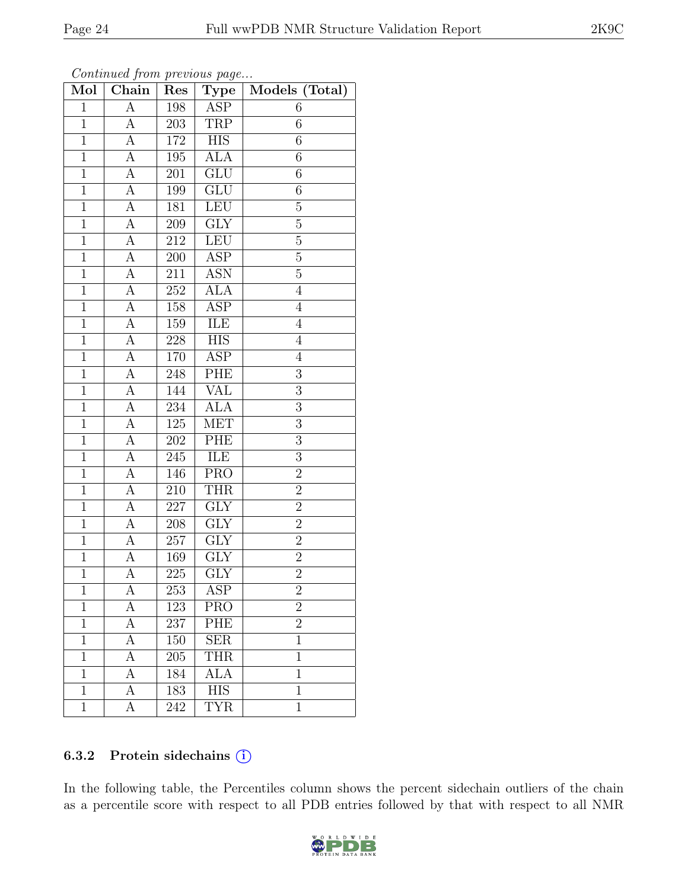| Mol            | . $\int$ $\int$<br>Chain | Res     | $\cdots$ $\cdots$ $\cdots$<br>$\overline{\text{Type}}$ | Models (Total) |
|----------------|--------------------------|---------|--------------------------------------------------------|----------------|
| $\mathbf{1}$   | $\overline{A}$           | 198     | <b>ASP</b>                                             | 6              |
| $\overline{1}$ | A                        | 203     | TRP                                                    | $\overline{6}$ |
| $\overline{1}$ | $\overline{A}$           | 172     | $\overline{HIS}$                                       | 6              |
| $\mathbf 1$    | A                        | 195     | ALA                                                    | $\overline{6}$ |
| $\overline{1}$ | $\overline{A}$           | 201     | $\overline{\text{GLU}}$                                | 6              |
| $\overline{1}$ | A                        | 199     | GLU                                                    | $\overline{6}$ |
| $\overline{1}$ | A                        | 181     | <b>LEU</b>                                             | $\overline{5}$ |
| $\overline{1}$ | А                        | 209     | GLY                                                    | $\overline{5}$ |
| $\overline{1}$ | А                        | 212     | <b>LEU</b>                                             | $\overline{5}$ |
| $\overline{1}$ | A                        | 200     | <b>ASP</b>                                             | $\overline{5}$ |
| $\mathbf{1}$   | А                        | 211     | <b>ASN</b>                                             | $\overline{5}$ |
| $\overline{1}$ | $\overline{A}$           | 252     | <b>ALA</b>                                             | $\overline{4}$ |
| $\mathbf 1$    | А                        | 158     | ASP                                                    | $\overline{4}$ |
| $\mathbf 1$    | А                        | 159     | ILE                                                    | $\overline{4}$ |
| $\overline{1}$ | $\overline{A}$           | $228\,$ | $\overline{HIS}$                                       | $\overline{4}$ |
| $\mathbf{1}$   | $\overline{A}$           | 170     | <b>ASP</b>                                             | $\overline{4}$ |
| $\overline{1}$ | $\overline{A}$           | 248     | PHE                                                    | $\overline{3}$ |
| $\mathbf{1}$   | A                        | 144     | VAL                                                    | 3              |
| $\overline{1}$ | $\overline{A}$           | 234     | <b>ALA</b>                                             | 3              |
| $\mathbf{1}$   | $\overline{A}$           | 125     | <b>MET</b>                                             | 3              |
| $\mathbf{1}$   | A                        | 202     | PHE                                                    | $\overline{3}$ |
| $\overline{1}$ | $\overline{A}$           | 245     | ILE                                                    | $\overline{3}$ |
| $\mathbf{1}$   | A                        | 146     | <b>PRO</b>                                             | $\overline{2}$ |
| $\mathbf{1}$   | A                        | 210     | <b>THR</b>                                             | $\overline{2}$ |
| $\overline{1}$ | A                        | 227     | GLY                                                    | $\overline{2}$ |
| $\overline{1}$ | A                        | 208     | <b>GLY</b>                                             | $\overline{2}$ |
| $\overline{1}$ | А                        | 257     | $\overline{\text{GLY}}$                                | $\overline{2}$ |
| $\mathbf{1}$   | А                        | 169     | GLY                                                    | $\overline{2}$ |
| $\overline{1}$ | А                        | 225     | $\overline{\text{GLY}}$                                | $\overline{2}$ |
| 1              | А                        | 253     | ASP                                                    | $\overline{2}$ |
| $\mathbf{1}$   | А                        | 123     | PRO                                                    | $\overline{2}$ |
| $\mathbf{1}$   | А                        | 237     | PHE                                                    | $\overline{2}$ |
| $\mathbf{1}$   | А                        | 150     | <b>SER</b>                                             | $\mathbf{1}$   |
| $\mathbf{1}$   | А                        | 205     | <b>THR</b>                                             | $\overline{1}$ |
| 1              | А                        | 184     | ALA                                                    | $\mathbf 1$    |
| $\overline{1}$ | А                        | 183     | $\overline{HIS}$                                       | $\overline{1}$ |
| $\mathbf{1}$   | А                        | 242     | <b>TYR</b>                                             | $\mathbf{1}$   |

Continued from previous page...

#### 6.3.2 Protein sidechains (i)

In the following table, the Percentiles column shows the percent sidechain outliers of the chain as a percentile score with respect to all PDB entries followed by that with respect to all NMR

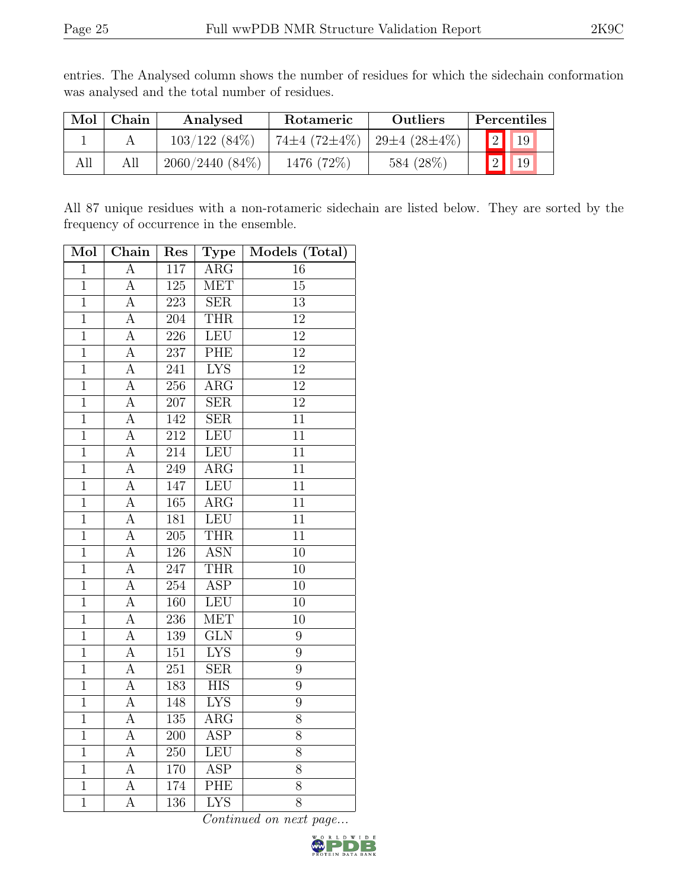| Mol | Chain | Analysed          | Rotameric                | Outliers                   |  | Percentiles     |
|-----|-------|-------------------|--------------------------|----------------------------|--|-----------------|
|     |       | $103/122(84\%)$   | $74\pm4$ (72 $\pm4\%$ ). | 29 $\pm 4$ (28 $\pm 4\%$ ) |  | 19              |
|     | All   | $2060/2440(84\%)$ | 1476 (72%)               | 584 (28%)                  |  | 19 <sub>1</sub> |

entries. The Analysed column shows the number of residues for which the sidechain conformation was analysed and the total number of residues.

All 87 unique residues with a non-rotameric sidechain are listed below. They are sorted by the frequency of occurrence in the ensemble.

| $\overline{\text{Mol}}$ | Chain              | Res              | Type                    | Models (Total)  |
|-------------------------|--------------------|------------------|-------------------------|-----------------|
| $\mathbf{1}$            | $\boldsymbol{A}$   | 117              | $\rm{ARG}$              | 16              |
| $\overline{1}$          | A                  | $\overline{125}$ | <b>MET</b>              | $\overline{15}$ |
| $\overline{1}$          | $\overline{A}$     | $\overline{223}$ | SER                     | $\overline{13}$ |
| $\mathbf{1}$            | A                  | 204              | <b>THR</b>              | $\overline{12}$ |
| $\overline{1}$          | $\overline{A}$     | 226              | LEU                     | $\overline{12}$ |
| $\overline{1}$          | $\overline{A}$     | 237              | PHE                     | $\overline{12}$ |
| $\overline{1}$          | $\overline{\rm A}$ | $\overline{241}$ | $\overline{\text{LYS}}$ | $\overline{12}$ |
| $\overline{1}$          | $\overline{A}$     | $\overline{256}$ | $\overline{\text{ARG}}$ | 12              |
| $\mathbf{1}$            | A                  | 207              | $\overline{\text{SER}}$ | $\overline{12}$ |
| $\overline{1}$          | $\overline{\rm A}$ | 142              | $\overline{\text{SER}}$ | $\overline{11}$ |
| $\overline{1}$          | $\overline{A}$     | 212              | LEU                     | $\overline{11}$ |
| $\overline{1}$          | A                  | $\overline{214}$ | <b>LEU</b>              | $\overline{11}$ |
| $\overline{1}$          | $\overline{A}$     | 249              | $\overline{\text{ARG}}$ | $\overline{11}$ |
| $\overline{1}$          | А                  | 147              | LEU                     | $\overline{11}$ |
| $\overline{1}$          | $\overline{\rm A}$ | 165              | $\overline{\rm{ARG}}$   | $\overline{11}$ |
| $\overline{1}$          | $\overline{A}$     | 181              | LEU                     | $\overline{11}$ |
| $\overline{1}$          | А                  | $\overline{205}$ | <b>THR</b>              | $\overline{11}$ |
| $\overline{1}$          | $\overline{A}$     | 126              | <b>ASN</b>              | $\overline{10}$ |
| $\overline{1}$          | $\overline{\rm A}$ | $\overline{247}$ | <b>THR</b>              | $\overline{10}$ |
| $\overline{1}$          | A                  | 254              | <b>ASP</b>              | 10              |
| $\overline{1}$          | $\overline{A}$     | 160              | LEU                     | 10              |
| $\overline{1}$          | $\overline{A}$     | $\overline{236}$ | <b>MET</b>              | $\overline{10}$ |
| $\mathbf{1}$            | A                  | 139              | <b>GLN</b>              | 9               |
| $\overline{1}$          | $\overline{A}$     | $\overline{151}$ | <b>LYS</b>              | $\overline{9}$  |
| $\overline{1}$          | А                  | 251              | SER                     | 9               |
| $\overline{1}$          | $\overline{A}$     | 183              | $\overline{\text{HIS}}$ | 9               |
| $\overline{1}$          | $\overline{A}$     | 148              | $\overline{\text{LYS}}$ | $\overline{9}$  |
| $\mathbf{1}$            | A                  | 135              | $\rm{ARG}$              | 8               |
| $\overline{1}$          | $\overline{A}$     | $\overline{200}$ | <b>ASP</b>              | $\overline{8}$  |
| $\overline{1}$          | A                  | 250              | LEU                     | $\overline{8}$  |
| $\overline{1}$          | A                  | 170              | $\overline{\text{ASP}}$ | $\overline{8}$  |
| $\overline{1}$          | $\overline{A}$     | 174              | $\overline{\rm PHE}$    | $8\,$           |
| $\overline{1}$          | $\overline{\rm A}$ | 136              | $\overline{\text{LYS}}$ | $\overline{8}$  |

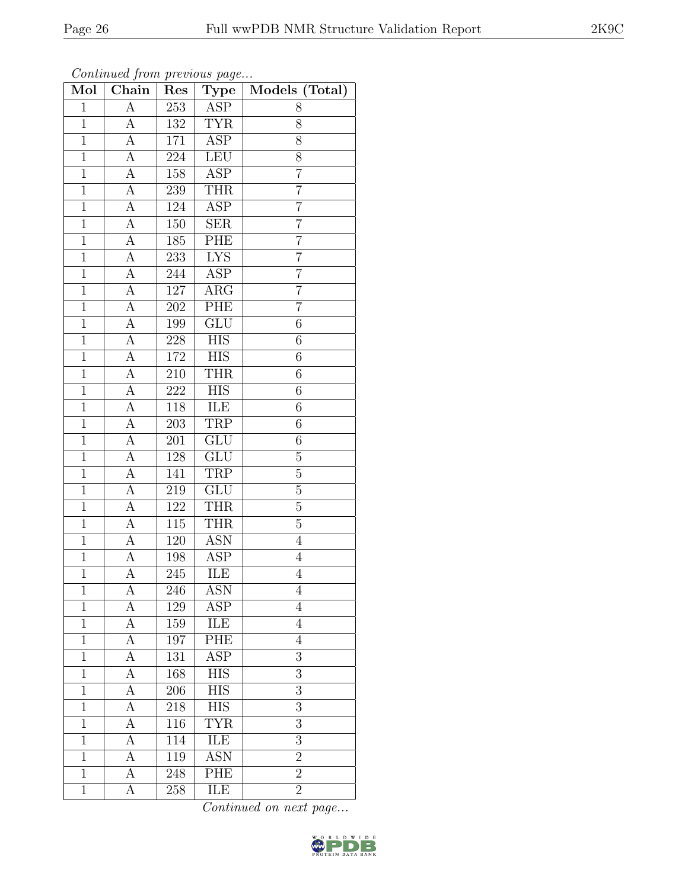| Mol            | Chain          | Res              | Type                    | Models (Total)  |
|----------------|----------------|------------------|-------------------------|-----------------|
| $\mathbf{1}$   | А              | 253              | ASP                     | 8               |
| $\mathbf{1}$   | А              | 132              | <b>TYR</b>              | 8               |
| $\overline{1}$ | А              | 171              | $\overline{\text{ASP}}$ | 8               |
| $\mathbf{1}$   | A              | 224              | LEU                     | 8               |
| $\overline{1}$ | $\overline{A}$ | 158              | $\overline{\text{ASP}}$ | $\overline{7}$  |
| $\mathbf{1}$   | А              | 239              | <b>THR</b>              | 7               |
| $\mathbf{1}$   | A              | 124              | <b>ASP</b>              | $\overline{7}$  |
| $\mathbf{1}$   | $\overline{A}$ | 150              | <b>SER</b>              | $\overline{7}$  |
| $\mathbf{1}$   | A              | 185              | PHE                     | $\overline{7}$  |
| $\overline{1}$ | А              | 233              | I <sub>YS</sub>         | $\overline{7}$  |
| $\mathbf{1}$   | A              | 244              | ASP                     | $\overline{7}$  |
| $\mathbf{1}$   | А              | 127              | $\widehat{\text{ARG}}$  | $\overline{7}$  |
| $\mathbf{1}$   | A              | 202              | PHE                     | $\overline{7}$  |
| $\mathbf{1}$   | А              | 199              | $\overline{\text{GLU}}$ | $6\phantom{.}6$ |
| $\overline{1}$ | А              | $228\,$          | $\overline{HIS}$        | 6               |
| $\mathbf{1}$   | А              | 172              | HIS                     | $6\phantom{.}6$ |
| $\mathbf{1}$   | А              | $210\,$          | <b>THR</b>              | $\sqrt{6}$      |
| $\mathbf 1$    | А              | 222              | <b>HIS</b>              | $\,6$           |
| $\overline{1}$ | А              | 118              | ILE                     | $\overline{6}$  |
| $\mathbf{1}$   | А              | 203              | <b>TRP</b>              | $\overline{6}$  |
| $\mathbf 1$    | А              | 201              | GLU                     | $6\phantom{.}6$ |
| $\overline{1}$ | А              | 128              | GLU                     | $\overline{5}$  |
| $\mathbf{1}$   | А              | 141              | TRP                     | $\mathbf 5$     |
| $\overline{1}$ | А              | 219              | GLU                     | $\overline{5}$  |
| $\mathbf{1}$   | А              | 122              | <b>THR</b>              | $\overline{5}$  |
| $\mathbf{1}$   | А              | $115\,$          | <b>THR</b>              | $\overline{5}$  |
| $\mathbf{1}$   | A              | 120              | <b>ASN</b>              | $\overline{4}$  |
| $\mathbf{1}$   | A              | $198\,$          | <b>ASP</b>              | $\overline{4}$  |
| $\overline{1}$ | А              | 245              | ILE                     | $\overline{4}$  |
| $\mathbf{1}$   | А              | 246              | <b>ASN</b>              | $\overline{4}$  |
| $\mathbf 1$    | А              | 129              | ASP                     | 4               |
| $\mathbf{1}$   | A              | 159              | ILE                     | $\overline{4}$  |
| $\mathbf 1$    | А              | 197              | PHE                     | 4               |
| $\overline{1}$ | А              | $\overline{131}$ | $\overline{\text{ASP}}$ | $\overline{3}$  |
| $\mathbf{1}$   | А              | 168              | <b>HIS</b>              | 3               |
| $\mathbf{1}$   | А              | 206              | $\overline{\text{HIS}}$ | 3               |
| $\mathbf 1$    | А              | 218              | <b>HIS</b>              | 3               |
| $\mathbf{1}$   | А              | 116              | <b>TYR</b>              | $\overline{3}$  |
| $\mathbf{1}$   | А              | 114              | <b>ILE</b>              | $\overline{3}$  |
| $\mathbf 1$    | А              | 119              | <b>ASN</b>              | $\overline{2}$  |
| $\mathbf 1$    | А              | 248              | PHE                     | $\overline{2}$  |
| $\mathbf{1}$   | А              | 258              | ILE                     | $\overline{2}$  |

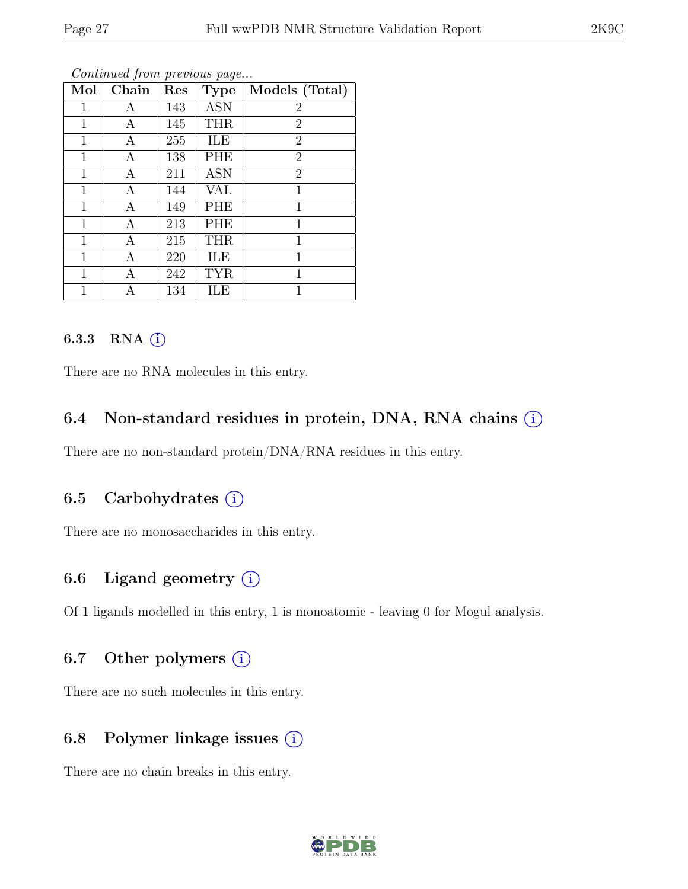| Mol          | Chain | Res | <b>Type</b> | Models (Total) |
|--------------|-------|-----|-------------|----------------|
| 1            | Α     | 143 | <b>ASN</b>  | $\overline{2}$ |
| $\mathbf 1$  | А     | 145 | <b>THR</b>  | $\overline{2}$ |
| $\mathbf 1$  | Α     | 255 | ILE         | $\overline{2}$ |
| 1            | Α     | 138 | PHE         | $\overline{2}$ |
| $\mathbf 1$  | А     | 211 | <b>ASN</b>  | $\overline{2}$ |
| $\mathbf 1$  | А     | 144 | VAL         | 1              |
| 1            | А     | 149 | PHE         | 1              |
| 1            | А     | 213 | PHE         | $\mathbf{1}$   |
| $\mathbf{1}$ | Α     | 215 | <b>THR</b>  | $\mathbf{1}$   |
| 1            | Α     | 220 | ILE         | 1              |
| 1            | Α     | 242 | <b>TYR</b>  | $\mathbf{1}$   |
| 1            | А     | 134 | ILE         | 1              |

#### 6.3.3 RNA  $(i)$

There are no RNA molecules in this entry.

#### 6.4 Non-standard residues in protein, DNA, RNA chains (i)

There are no non-standard protein/DNA/RNA residues in this entry.

## 6.5 Carbohydrates  $(i)$

There are no monosaccharides in this entry.

## 6.6 Ligand geometry  $(i)$

Of 1 ligands modelled in this entry, 1 is monoatomic - leaving 0 for Mogul analysis.

#### 6.7 Other polymers  $(i)$

There are no such molecules in this entry.

## 6.8 Polymer linkage issues  $(i)$

There are no chain breaks in this entry.